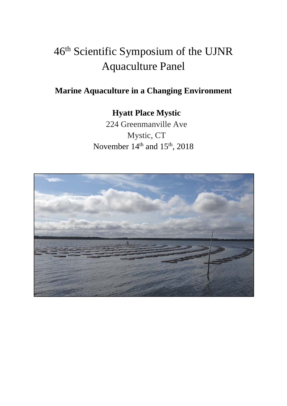# 46th Scientific Symposium of the UJNR Aquaculture Panel

### **Marine Aquaculture in a Changing Environment**

## **Hyatt Place Mystic**

224 Greenmanville Ave Mystic, CT November  $14<sup>th</sup>$  and  $15<sup>th</sup>$ , 2018

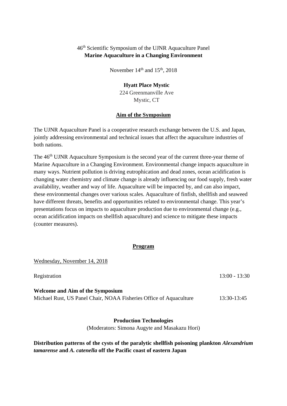#### 46th Scientific Symposium of the UJNR Aquaculture Panel **Marine Aquaculture in a Changing Environment**

November  $14<sup>th</sup>$  and  $15<sup>th</sup>$ , 2018

#### **Hyatt Place Mystic**

224 Greenmanville Ave Mystic, CT

#### **Aim of the Symposium**

The UJNR Aquaculture Panel is a cooperative research exchange between the U.S. and Japan, jointly addressing environmental and technical issues that affect the aquaculture industries of both nations.

The 46<sup>th</sup> UJNR Aquaculture Symposium is the second year of the current three-year theme of Marine Aquaculture in a Changing Environment. Environmental change impacts aquaculture in many ways. Nutrient pollution is driving eutrophication and dead zones, ocean acidification is changing water chemistry and climate change is already influencing our food supply, fresh water availability, weather and way of life. Aquaculture will be impacted by, and can also impact, these environmental changes over various scales. Aquaculture of finfish, shellfish and seaweed have different threats, benefits and opportunities related to environmental change. This year's presentations focus on impacts to aquaculture production due to environmental change (e.g., ocean acidification impacts on shellfish aquaculture) and science to mitigate these impacts (counter measures).

#### **Program**

Wednesday, November 14, 2018

Registration 13:00 - 13:30 **Welcome and Aim of the Symposium** Michael Rust, US Panel Chair, NOAA Fisheries Office of Aquaculture 13:30-13:45

> **Production Technologies**  (Moderators: Simona Augyte and Masakazu Hori)

#### **Distribution patterns of the cysts of the paralytic shellfish poisoning plankton** *Alexandrium tamarense* **and** *A. catenella* **off the Pacific coast of eastern Japan**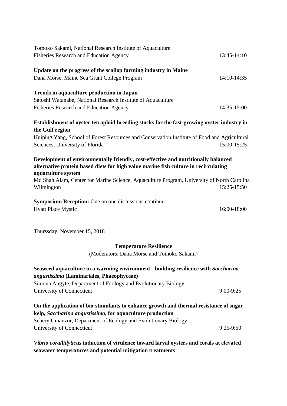| Tomoko Sakami, National Research Institute of Aquaculture                                                                                                                                       |             |
|-------------------------------------------------------------------------------------------------------------------------------------------------------------------------------------------------|-------------|
| Fisheries Research and Education Agency                                                                                                                                                         | 13:45-14:10 |
| Update on the progress of the scallop farming industry in Maine                                                                                                                                 |             |
| Dana Morse, Maine Sea Grant College Program                                                                                                                                                     | 14:10-14:35 |
| Trends in aquaculture production in Japan                                                                                                                                                       |             |
| Satoshi Watanabe, National Research Institute of Aquaculture                                                                                                                                    |             |
| <b>Fisheries Research and Education Agency</b>                                                                                                                                                  | 14:35-15:00 |
| Establishment of oyster tetraploid breeding stocks for the fast-growing oyster industry in                                                                                                      |             |
| the Gulf region                                                                                                                                                                                 |             |
| Huiping Yang, School of Forest Resources and Conservation Institute of Food and Agricultural                                                                                                    |             |
| Sciences, University of Florida                                                                                                                                                                 | 15:00-15:25 |
| Development of environmentally friendly, cost-effective and nutritionally balanced<br>alternative protein based diets for high value marine fish culture in recirculating<br>aquaculture system |             |
| Md Shah Alam, Center for Marine Science, Aquaculture Program, University of North Carolina                                                                                                      |             |
| Wilmington                                                                                                                                                                                      | 15:25-15:50 |
| <b>Symposium Reception:</b> One on one discussions continue                                                                                                                                     |             |
| <b>Hyatt Place Mystic</b>                                                                                                                                                                       | 16:00-18:00 |
|                                                                                                                                                                                                 |             |

Thurssday, November 15, 2018

#### **Temperature Resilience**

(Moderators: Dana Morse and Tomoko Sakami)

| Seaweed aquaculture in a warming environment - building resilience with Saccharina |               |
|------------------------------------------------------------------------------------|---------------|
| <i>angustissima</i> (Laminariales, Phaeophyceae)                                   |               |
| Simona Augyte, Department of Ecology and Evolutionary Biology,                     |               |
| University of Connecticut                                                          | $9:00 - 9:25$ |

**On the application of bio-stimulants to enhance growth and thermal resistance of sugar kelp,** *Saccharina angustissima***, for aquaculture production**  Schery Umanzor, Department of Ecology and Evolutionary Biology, University of Connecticut 9:25-9:50

*Vibrio coralliilyticus* **induction of virulence toward larval oysters and corals at elevated seawater temperatures and potential mitigation treatments**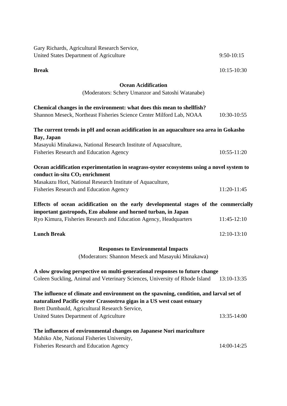| Gary Richards, Agricultural Research Service,                                                                                           |               |
|-----------------------------------------------------------------------------------------------------------------------------------------|---------------|
| United States Department of Agriculture                                                                                                 | $9:50-10:15$  |
| <b>Break</b>                                                                                                                            | $10:15-10:30$ |
| <b>Ocean Acidification</b>                                                                                                              |               |
| (Moderators: Schery Umanzor and Satoshi Watanabe)                                                                                       |               |
| Chemical changes in the environment: what does this mean to shellfish?                                                                  |               |
| Shannon Meseck, Northeast Fisheries Science Center Milford Lab, NOAA                                                                    | 10:30-10:55   |
| The current trends in pH and ocean acidification in an aquaculture sea area in Gokasho                                                  |               |
| Bay, Japan                                                                                                                              |               |
| Masayuki Minakawa, National Research Institute of Aquaculture,                                                                          |               |
| <b>Fisheries Research and Education Agency</b>                                                                                          | 10:55-11:20   |
| Ocean acidification experimentation in seagrass-oyster ecosystems using a novel system to<br>conduct in-situ CO <sub>2</sub> enrichment |               |
| Masakazu Hori, National Research Institute of Aquaculture,                                                                              |               |
| <b>Fisheries Research and Education Agency</b>                                                                                          | 11:20-11:45   |
| Effects of ocean acidification on the early developmental stages of the commercially                                                    |               |
| important gastropods, Ezo abalone and horned turban, in Japan                                                                           |               |
| Ryo Kimura, Fisheries Research and Education Agency, Headquarters                                                                       | 11:45-12:10   |
| <b>Lunch Break</b>                                                                                                                      | 12:10-13:10   |
| <b>Responses to Environmental Impacts</b>                                                                                               |               |
| (Moderators: Shannon Meseck and Masayuki Minakawa)                                                                                      |               |
| A slow growing perspective on multi-generational responses to future change                                                             |               |
| Coleen Suckling, Animal and Veterinary Sciences, University of Rhode Island                                                             | 13:10-13:35   |
| The influence of climate and environment on the spawning, condition, and larval set of                                                  |               |
| naturalized Pacific oyster Crassostrea gigas in a US west coast estuary                                                                 |               |
| Brett Dumbauld, Agricultural Research Service,                                                                                          |               |
| United States Department of Agriculture                                                                                                 | 13:35-14:00   |
|                                                                                                                                         |               |
| The influences of environmental changes on Japanese Nori mariculture                                                                    |               |
| Mahiko Abe, National Fisheries University,                                                                                              |               |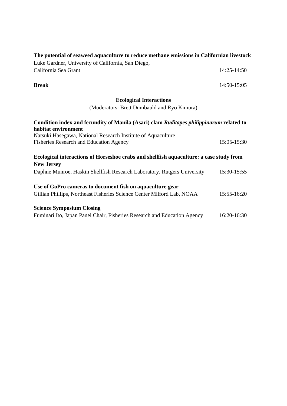| The potential of seaweed aquaculture to reduce methane emissions in Californian livestock |                 |
|-------------------------------------------------------------------------------------------|-----------------|
| Luke Gardner, University of California, San Diego,                                        |                 |
| California Sea Grant                                                                      | $14:25 - 14:50$ |

**Break** 14:50-15:05

### **Ecological Interactions**

(Moderators: Brett Dumbauld and Ryo Kimura)

| Condition index and fecundity of Manila (Asari) clam Ruditapes philippinarum related to |                 |
|-----------------------------------------------------------------------------------------|-----------------|
| habitat environment                                                                     |                 |
| Natsuki Hasegawa, National Research Institute of Aquaculture                            |                 |
| Fisheries Research and Education Agency                                                 | $15:05 - 15:30$ |
| Ecological interactions of Horseshoe crabs and shellfish aquaculture: a case study from |                 |
| <b>New Jersey</b>                                                                       |                 |
| Daphne Munroe, Haskin Shellfish Research Laboratory, Rutgers University                 | 15:30-15:55     |
| Use of GoPro cameras to document fish on aquaculture gear                               |                 |
| Gillian Phillips, Northeast Fisheries Science Center Milford Lab, NOAA                  | 15:55-16:20     |
| <b>Science Symposium Closing</b>                                                        |                 |
| Fuminari Ito, Japan Panel Chair, Fisheries Research and Education Agency                | 16:20-16:30     |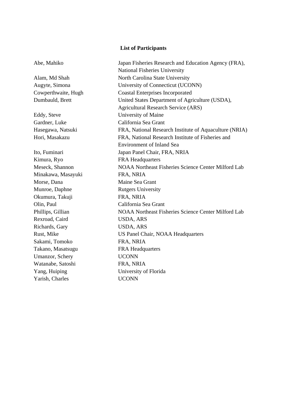#### **List of Participants**

Kimura, Ryo **FRA Headquarters** Minakawa, Masayuki FRA, NRIA Morse, Dana Maine Sea Grant Munroe, Daphne Rutgers University Okumura, Takuji FRA, NRIA Olin, Paul California Sea Grant Rexroad, Caird USDA, ARS Richards, Gary USDA, ARS Sakami, Tomoko FRA, NRIA Takano, Masatsugu FRA Headquarters Umanzor, Schery UCONN Watanabe, Satoshi FRA, NRIA Yang, Huiping University of Florida Yarish, Charles UCONN

Abe, Mahiko Japan Fisheries Research and Education Agency (FRA), National Fisheries University Alam, Md Shah North Carolina State University Augyte, Simona University of Connecticut (UCONN) Cowperthwaite, Hugh Coastal Enterprises Incorporated Dumbauld, Brett United States Department of Agriculture (USDA), Agricultural Research Service (ARS) Eddy, Steve University of Maine Gardner, Luke California Sea Grant Hasegawa, Natsuki FRA, National Research Institute of Aquaculture (NRIA) Hori, Masakazu FRA, National Research Institute of Fisheries and Environment of Inland Sea Ito, Fuminari Japan Panel Chair, FRA, NRIA Meseck, Shannon NOAA Northeast Fisheries Science Center Milford Lab Phillips, Gillian NOAA Northeast Fisheries Science Center Milford Lab Rust, Mike US Panel Chair, NOAA Headquarters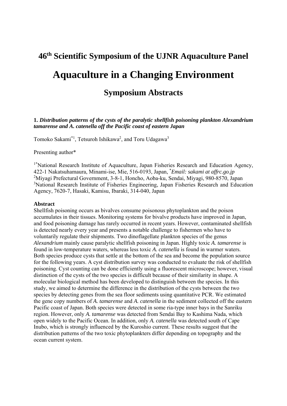# **46th Scientific Symposium of the UJNR Aquaculture Panel Aquaculture in a Changing Environment Symposium Abstracts**

**1.** *Distribution patterns of the cysts of the paralytic shellfish poisoning plankton Alexandrium tamarense and A. catenella off the Pacific coast of eastern Japan* 

Tomoko Sakami<sup>\*1</sup>, Tetsuroh Ishikawa<sup>2</sup>, and Toru Udagawa<sup>3</sup>

Presenting author\*

<sup>1\*</sup>National Research Institute of Aquaculture, Japan Fisheries Research and Education Agency, 422-1 Nakatsuhamaura, Minami-ise, Mie, 516-0193, Japan, \* *Email: sakami at affrc.go.jp*  2 Miyagi Prefectural Government, 3-8-1, Honcho, Aoba-ku, Sendai, Miyagi, 980-8570, Japan <sup>3</sup>National Research Institute of Fisheries Engineering, Japan Fisheries Research and Education Agency, 7620-7, Hasaki, Kamisu, Ibaraki, 314-040, Japan

#### **Abstract**

Shellfish poisoning occurs as bivalves consume poisonous phytoplankton and the poison accumulates in their tissues. Monitoring systems for bivalve products have improved in Japan, and food poisoning damage has rarely occurred in recent years. However, contaminated shellfish is detected nearly every year and presents a notable challenge to fishermen who have to voluntarily regulate their shipments. Two dinoflagellate plankton species of the genus *Alexandrium* mainly cause paralytic shellfish poisoning in Japan. Highly toxic *A. tamarense* is found in low-temperature waters, whereas less toxic *A. catenella* is found in warmer waters. Both species produce cysts that settle at the bottom of the sea and become the population source for the following years. A cyst distribution survey was conducted to evaluate the risk of shellfish poisoning. Cyst counting can be done efficiently using a fluorescent microscope; however, visual distinction of the cysts of the two species is difficult because of their similarity in shape. A molecular biological method has been developed to distinguish between the species. In this study, we aimed to determine the difference in the distribution of the cysts between the two species by detecting genes from the sea floor sediments using quantitative PCR. We estimated the gene copy numbers of *A. tamarense* and *A. catenella* in the sediment collected off the eastern Pacific coast of Japan. Both species were detected in some ria-type inner bays in the Sanriku region. However, only *A. tamarense* was detected from Sendai Bay to Kashima Nada, which open widely to the Pacific Ocean. In addition, only *A. catenella* was detected south of Cape Inubo, which is strongly influenced by the Kuroshio current. These results suggest that the distribution patterns of the two toxic phytoplankters differ depending on topography and the ocean current system.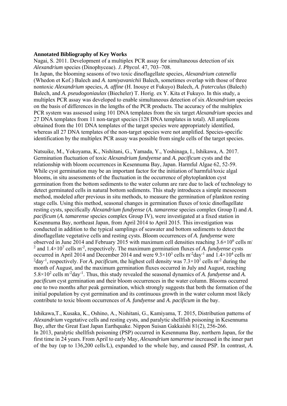#### **Annotated Bibliography of Key Works**

Nagai, S. 2011. Development of a multiplex PCR assay for simultaneous detection of six *Alexandrium* species (Dinophyceae). *J. Phycol.* 47, 703–708.

In Japan, the blooming seasons of two toxic dinoflagellate species, *Alexandrium catenella* (Whedon et Kof.) Balech and *A*. *tamiyavanichii* Balech, sometimes overlap with those of three nontoxic *Alexandrium* species, *A. affine* (H. Inouye et Fukuyo) Balech, *A. fraterculus* (Balech) Balech, and *A. pseudogoniaulax* (Biecheler) T. Horig. ex Y. Kita et Fukuyo. In this study, a multiplex PCR assay was developed to enable simultaneous detection of six *Alexandrium* species on the basis of differences in the lengths of the PCR products. The accuracy of the multiplex PCR system was assessed using 101 DNA templates from the six target *Alexandrium* species and 27 DNA templates from 11 non-target species (128 DNA templates in total). All amplicons obtained from the 101 DNA templates of the target species were appropriately identified, whereas all 27 DNA templates of the non-target species were not amplified. Species-specific identification by the multiplex PCR assay was possible from single cells of the target species.

Natsuike, M., Yokoyama, K., Nishitani, G., Yamada, Y., Yoshinaga, I., Ishikawa, A. 2017. Germination fluctuation of toxic *Alexandrium fundyense* and *A. pacificum* cysts and the relationship with bloom occurrences in Kesennuma Bay, Japan. Harmful Algae 62, 52-59. While cyst germination may be an important factor for the initiation of harmful/toxic algal blooms, in situ assessments of the fluctuation in the occurrence of phytoplankton cyst germination from the bottom sediments to the water column are rare due to lack of technology to detect germinated cells in natural bottom sediments. This study introduces a simple mesocosm method, modeled after previous in situ methods, to measure the germination of plankton resting stage cells. Using this method, seasonal changes in germination fluxes of toxic dinoflagellate resting cysts, specifically *Alexandrium fundyense* (*A. tamarense* species complex Group I) and *A*. *pacificum* (*A. tamarense* species complex Group IV), were investigated at a fixed station in Kesennuma Bay, northeast Japan, from April 2014 to April 2015. This investigation was conducted in addition to the typical samplings of seawater and bottom sediments to detect the dinoflagellate vegetative cells and resting cysts. Bloom occurrences of *A. fundyense* were observed in June 2014 and February 2015 with maximum cell densities reaching  $3.6 \times 10^6$  cells m <sup>2</sup> and  $1.4 \times 10^7$  cells m<sup>-2</sup>, respectively. The maximum germination fluxes of *A. fundyense* cysts occurred in April 2014 and December 2014 and were  $9.3 \times 10^3$  cells m<sup>-2</sup>day<sup>-1</sup> and  $1.4 \times 10^4$  cells m<sup>-</sup> <sup>2</sup>day<sup>-1</sup>, respectively. For *A. pacificum*, the highest cell density was  $7.3 \times 10^7$  cells m<sup>-2</sup> during the month of August, and the maximum germination fluxes occurred in July and August, reaching 5.8×10<sup>2</sup> cells m-2day-1. Thus, this study revealed the seasonal dynamics of *A. fundyense* and *A. pacificum* cyst germination and their bloom occurrences in the water column. Blooms occurred one to two months after peak germination, which strongly suggests that both the formation of the initial population by cyst germination and its continuous growth in the water column most likely contribute to toxic bloom occurrences of *A. fundyense* and *A. pacificum* in the bay.

Ishikawa,T., Kusaka, K., Oshino, A., Nishitani, G., Kamiyama, T. 2015, Distribution patterns of *Alexandrium* vegetative cells and resting cysts, and paralytic shellfish poisoning in Kesennuma Bay, after the Great East Japan Earthquake. Nippon Suisan Gakkaishi 81(2), 256-266. In 2013, paralytic shellfish poisoning (PSP) occurred in Kesennuma Bay, northern Japan, for the first time in 24 years. From April to early May, *Alexandrium tamarense* increased in the inner part of the bay (up to 136,200 cells/L), expanded to the whole bay, and caused PSP. In contrast, *A.*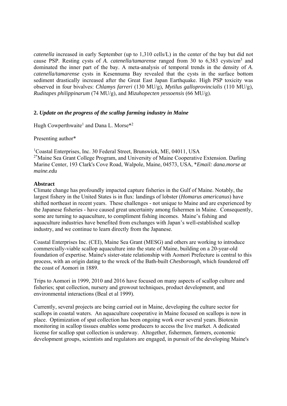*catenella* increased in early September (up to 1,310 cells/L) in the center of the bay but did not cause PSP. Resting cysts of *A. catenella/tamarense* ranged from 30 to 6,383 cysts/cm<sup>3</sup> and dominated the inner part of the bay. A meta-analysis of temporal trends in the density of *A. catenella/tamarense* cysts in Kesennuma Bay revealed that the cysts in the surface bottom sediment drastically increased after the Great East Japan Earthquake. High PSP toxicity was observed in four bivalves: *Chlamys farreri* (130 MU/g), *Mytilus galloprovincialis* (110 MU/g), *Ruditapes philippinarum* (74 MU/g), and *Mizuhopecten yessoensis* (66 MU/g).

#### **2.** *Update on the progress of the scallop farming industry in Maine*

Hugh Cowperthwaite<sup>1</sup> and Dana L. Morse<sup>\*2</sup>

Presenting author\*

1 Coastal Enterprises, Inc. 30 Federal Street, Brunswick, ME, 04011, USA <sup>2\*</sup>Maine Sea Grant College Program, and University of Maine Cooperative Extension. Darling Marine Center, 193 Clark's Cove Road, Walpole, Maine, 04573, USA, \**Email: dana.morse at maine.edu* 

#### **Abstract**

Climate change has profoundly impacted capture fisheries in the Gulf of Maine. Notably, the largest fishery in the United States is in flux: landings of lobster (*Homarus americanus*) have shifted northeast in recent years. These challenges - not unique to Maine and are experienced by the Japanese fisheries - have caused great uncertainty among fishermen in Maine. Consequently, some are turning to aquaculture, to compliment fishing incomes. Maine's fishing and aquaculture industries have benefited from exchanges with Japan's well-established scallop industry, and we continue to learn directly from the Japanese.

Coastal Enterprises Inc. (CEI), Maine Sea Grant (MESG) and others are working to introduce commercially-viable scallop aquaculture into the state of Maine, building on a 20-year-old foundation of expertise. Maine's sister-state relationship with Aomori Prefecture is central to this process, with an origin dating to the wreck of the Bath-built *Chesborough*, which foundered off the coast of Aomori in 1889.

Trips to Aomori in 1999, 2010 and 2016 have focused on many aspects of scallop culture and fisheries; spat collection, nursery and growout techniques, product development, and environmental interactions (Beal et al 1999).

Currently, several projects are being carried out in Maine, developing the culture sector for scallops in coastal waters. An aquaculture cooperative in Maine focused on scallops is now in place. Optimization of spat collection has been ongoing work over several years. Biotoxin monitoring in scallop tissues enables some producers to access the live market. A dedicated license for scallop spat collection is underway. Altogether, fishermen, farmers, economic development groups, scientists and regulators are engaged, in pursuit of the developing Maine's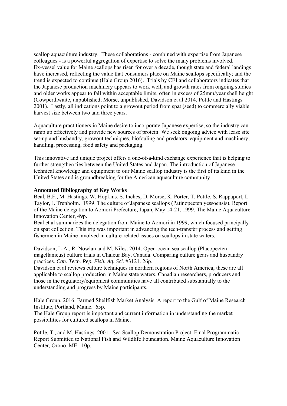scallop aquaculture industry. These collaborations - combined with expertise from Japanese colleagues - is a powerful aggregation of expertise to solve the many problems involved. Ex-vessel value for Maine scallops has risen for over a decade, though state and federal landings have increased, reflecting the value that consumers place on Maine scallops specifically; and the trend is expected to continue (Hale Group 2016). Trials by CEI and collaborators indicates that the Japanese production machinery appears to work well, and growth rates from ongoing studies and older works appear to fall within acceptable limits, often in excess of 25mm/year shell height (Cowperthwaite, unpublished; Morse, unpublished, Davidson et al 2014, Pottle and Hastings 2001). Lastly, all indications point to a growout period from spat (seed) to commercially viable harvest size between two and three years.

Aquaculture practitioners in Maine desire to incorporate Japanese expertise, so the industry can ramp up effectively and provide new sources of protein. We seek ongoing advice with lease site set-up and husbandry, growout techniques, biofouling and predators, equipment and machinery, handling, processing, food safety and packaging.

This innovative and unique project offers a one-of-a-kind exchange experience that is helping to further strengthen ties between the United States and Japan. The introduction of Japanese technical knowledge and equipment to our Maine scallop industry is the first of its kind in the United States and is groundbreaking for the American aquaculture community.

#### **Annotated Bibliography of Key Works**

Beal, B.F., M. Hastings, W. Hopkins, S. Inches, D. Morse, K. Porter, T. Pottle, S. Rappaport, L. Taylor, J. Trenholm. 1999. The culture of Japanese scallops (Patinopecten yessoensis). Report of the Maine delegation to Aomori Prefecture, Japan, May 14-21, 1999. The Maine Aquaculture Innovation Center, 49p.

Beal et al summarizes the delegation from Maine to Aomori in 1999, which focused principally on spat collection. This trip was important in advancing the tech-transfer process and getting fishermen in Maine involved in culture-related issues on scallops in state waters.

Davidson, L-A., R. Nowlan and M. Niles. 2014. Open-ocean sea scallop (Placopecten magellanicus) culture trials in Chaleur Bay, Canada: Comparing culture gears and husbandry practices. *Can. Tech. Rep. Fish. Aq. Sci.* #3121. 26p.

Davidson et al reviews culture techniques in northern regions of North America; these are all applicable to scallop production in Maine state waters. Canadian researchers, producers and those in the regulatory/equipment communities have all contributed substantially to the understanding and progress by Maine participants.

Hale Group, 2016. Farmed Shellfish Market Analysis. A report to the Gulf of Maine Research Institute, Portland, Maine. 65p.

The Hale Group report is important and current information in understanding the market possibilities for cultured scallops in Maine.

Pottle, T., and M. Hastings. 2001. Sea Scallop Demonstration Project. Final Programmatic Report Submitted to National Fish and Wildlife Foundation. Maine Aquaculture Innovation Center, Orono, ME. 10p.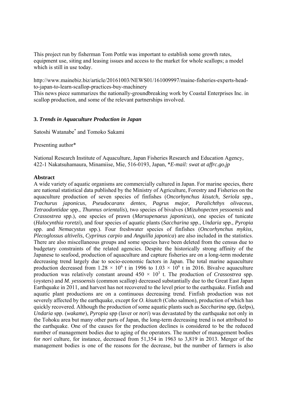This project run by fisherman Tom Pottle was important to establish some growth rates, equipment use, siting and leasing issues and access to the market for whole scallops; a model which is still in use today.

http://www.mainebiz.biz/article/20161003/NEWS01/161009997/maine-fisheries-experts-headto-japan-to-learn-scallop-practices-buy-machinery

This news piece summarizes the nationally-groundbreaking work by Coastal Enterprises Inc. in scallop production, and some of the relevant partnerships involved.

#### **3.** *Trends in Aquaculture Production in Japan*

Satoshi Watanabe\* and Tomoko Sakami

Presenting author\*

National Research Institute of Aquaculture, Japan Fisheries Research and Education Agency, 422-1 Nakatsuhamaura, Minamiise, Mie, 516-0193, Japan, \**E-mail: swat at affrc.go.jp* 

#### **Abstract**

A wide variety of aquatic organisms are commercially cultured in Japan. For marine species, there are national statistical data published by the Ministry of Agriculture, Forestry and Fisheries on the aquaculture production of seven species of finfishes (*Oncorhynchus kisutch, Seriola* spp., *Trachurus japonicus*, *Pseudocaranx dentex*, *Pagrus major*, *Paralichthys olivaceus*, *Tetraodontidae* spp., *Thunnus orientalis*), two species of bivalves (*Mizuhopecten yessoensis* and *Crassostrea* spp.), one species of prawn (*Marsupenaeus japonicus*), one species of tunicate (*Halocynthia roretzi*), and four species of aquatic plants (*Saccharina* spp., *Undaria* spp., *Pyropia* spp. and *Nemacystus* spp.). Four freshwater species of finfishes (*Oncorhynchus mykiss*, *Plecoglossus altivelis*, *Cyprinus carpio* and *Anguilla japonica*) are also included in the statistics. There are also miscellaneous groups and some species have been deleted from the census due to budgetary constraints of the related agencies. Despite the historically strong affinity of the Japanese to seafood, production of aquaculture and capture fisheries are on a long-term moderate decreasing trend largely due to socio-economic factors in Japan. The total marine aquaculture production decreased from 1.28  $\times$  10<sup>6</sup> t in 1996 to 1.03  $\times$  10<sup>6</sup> t in 2016. Bivalve aquaculture production was relatively constant around  $450 \times 10^3$  t. The production of *Crassostrea* spp. (oysters) and *M. yessoensis* (common scallop) decreased substantially due to the Great East Japan Earthquake in 2011, and harvest has not recovered to the level prior to the earthquake. Finfish and aquatic plant productions are on a continuous decreasing trend. Finfish production was not severely affected by the earthquake, except for *O*. *kisutch* (Coho salmon), production of which has quickly recovered. Although the production of some aquatic plants such as *Saccharina* spp, (kelps), *Undaria* spp. (*wakame*), *Pyropia* spp (laver or *nori*) was devastated by the earthquake not only in the Tohoku area but many other parts of Japan, the long-term decreasing trend is not attributed to the earthquake. One of the causes for the production declines is considered to be the reduced number of management bodies due to aging of the operators. The number of management bodies for *nori* culture, for instance, decreased from 51,354 in 1963 to 3,819 in 2013. Merger of the management bodies is one of the reasons for the decrease, but the number of farmers is also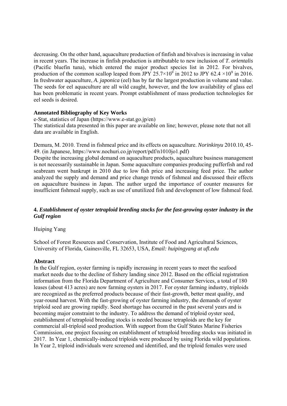decreasing. On the other hand, aquaculture production of finfish and bivalves is increasing in value in recent years. The increase in finfish production is attributable to new inclusion of *T. orientalis* (Pacific bluefin tuna), which entered the major product species list in 2012. For bivalves, production of the common scallop leaped from JPY 25.7×10<sup>9</sup> in 2012 to JPY 62.4 ×10<sup>9</sup> in 2016. In freshwater aquaculture, *A. japonica* (eel) has by far the largest production in volume and value. The seeds for eel aquaculture are all wild caught, however, and the low availability of glass eel has been problematic in recent years. Prompt establishment of mass production technologies for eel seeds is desired.

#### **Annotated Bibliography of Key Works**

e-Stat, statistics of Japan (https://www.e-stat.go.jp/en) The statistical data presented in this paper are available on line; however, please note that not all data are available in English.

Demura, M. 2010. Trend in fishmeal price and its effects on aquaculture. *Norinkinyu* 2010.10, 45- 49. (in Japanese, https://www.nochuri.co.jp/report/pdf/n1010jo1.pdf)

Despite the increasing global demand on aquaculture products, aquaculture business management is not necessarily sustainable in Japan. Some aquaculture companies producing pufferfish and red seabream went bankrupt in 2010 due to low fish price and increasing feed price. The author analyzed the supply and demand and price change trends of fishmeal and discussed their effects on aquaculture business in Japan. The author urged the importance of counter measures for insufficient fishmeal supply, such as use of unutilized fish and development of low fishmeal feed.

#### **4.** *Establishment of oyster tetraploid breeding stocks for the fast-growing oyster industry in the Gulf region*

#### Huiping Yang

School of Forest Resources and Conservation, Institute of Food and Agricultural Sciences, University of Florida, Gainesville, FL 32653, USA, *Email: huipingyang at ufl.edu* 

#### **Abstract**

In the Gulf region, oyster farming is rapidly increasing in recent years to meet the seafood market needs due to the decline of fishery landing since 2012. Based on the official registration information from the Florida Department of Agriculture and Consumer Services, a total of 180 leases (about 413 acres) are now farming oysters in 2017. For oyster farming industry, triploids are recognized as the preferred products because of their fast-growth, better meat quality, and year-round harvest. With the fast-growing of oyster farming industry, the demands of oyster triploid seed are growing rapidly. Seed shortage has occurred in the past several years and is becoming major constraint to the industry. To address the demand of triploid oyster seed, establishment of tetraploid breeding stocks is needed because tetraploids are the key for commercial all-triploid seed production. With support from the Gulf States Marine Fisheries Commission, one project focusing on establishment of tetraploid breeding stocks was initiated in 2017. In Year 1, chemically-induced triploids were produced by using Florida wild populations. In Year 2, triploid individuals were screened and identified, and the triploid females were used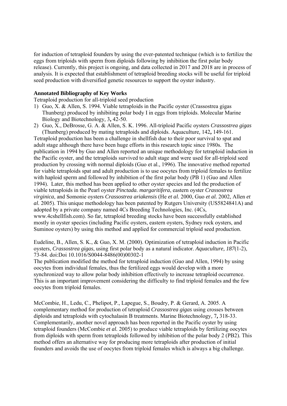for induction of tetraploid founders by using the ever-patented technique (which is to fertilize the eggs from triploids with sperm from diploids following by inhibition the first polar body release). Currently, this project is ongoing, and data collected in 2017 and 2018 are in process of analysis. It is expected that establishment of tetraploid breeding stocks will be useful for triploid seed production with diversified genetic resources to support the oyster industry.

#### **Annotated Bibliography of Key Works**

Tetraploid production for all-triploid seed production

- 1) Guo, X. & Allen, S. 1994. Viable tetraploids in the Pacific oyster (Crassostrea gigas Thunberg) produced by inhibiting polar body I in eggs from triploids. Molecular Marine Biology and Biotechnology*,* 3**,** 42-50.
- 2) Guo, X., DeBrosse, G. A. & Allen, S. K. 1996. All-triploid Pacific oysters *Crassostrea gigas* (Thunberg) produced by mating tetraploids and diploids. Aquaculture*,* 142**,** 149-161.

Tetraploid production has been a challenge in shellfish due to their poor survival to spat and adult stage although there have been huge efforts in this research topic since 1980s. The publication in 1994 by Guo and Allen reported an unique methodology for tetraploid induction in the Pacific oyster, and the tetraploids survived to adult stage and were used for all-triploid seed production by crossing with normal diploids (Guo et al., 1996). The innovative method reported for viable tetraploids spat and adult production is to use oocytes from triploid females to fertilize with haploid sperm and followed by inhibition of the first polar body (PB 1) (Guo and Allen 1994). Later, this method has been applied to other oyster species and led the production of viable tetraploids in the Pearl oyster *Pinctada. margaritifera*, eastern oyster *Crassostrea virginica*, and Somonie oysters *Crassostrea ariakensis* (He *et al.* 2000, Guo *et al.* 2002, Allen *et al.* 2005). This unique methodology has been patented by Rutgers University (US5824841A) and adopted by a private company named 4Cs Breeding Technologies, Inc. (4Cs, www.4cshellfish.com). So far, tetraploid breeding stocks have been successfully established mostly in oyster species (including Pacific oysters, eastern oysters, Sydney rock oysters, and Suminoe oysters) by using this method and applied for commercial triploid seed production.

Eudeline, B., Allen, S. K., & Guo, X. M. (2000). Optimization of tetraploid induction in Pacific oysters, *Crassostrea gigas*, using first polar body as a natural indicator. *Aquaculture, 187*(1-2), 73-84. doi:Doi 10.1016/S0044-8486(00)00302-1

The publication modified the method for tetraploid induction (Guo and Allen, 1994) by using oocytes from individual females, thus the fertilized eggs would develop with a more synchronized way to allow polar body inhibition effectively to increase tetraploid occurrence. This is an important improvement considering the difficulty to find triploid females and the few oocytes from triploid females.

McCombie, H., Ledu, C., Phelipot, P., Lapegue, S., Boudry, P. & Gerard, A. 2005. A complementary method for production of tetraploid *Crassostrea gigas* using crosses between diploids and tetraploids with cytochalasin B treatments. Marine Biotechnology*,* 7**,** 318-33. Complementarily, another novel approach has been reported in the Pacific oyster by using tetraploid founders (McCombie *et al.* 2005) to produce viable tetraploids by fertilizing oocytes from diploids with sperm from tetraploids followed by inhibition of the polar body 2 (PB2). This method offers an alternative way for producing more tetraploids after production of initial founders and avoids the use of oocytes from triploid females which is always a big challenge.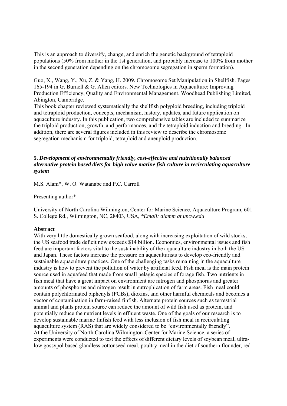This is an approach to diversify, change, and enrich the genetic background of tetraploid populations (50% from mother in the 1st generation, and probably increase to 100% from mother in the second generation depending on the chromosome segregation in sperm formation).

Guo, X., Wang, Y., Xu, Z. & Yang, H. 2009. Chromosome Set Manipulation in Shellfish. Pages 165-194 in G. Burnell & G. Allen editors*.* New Technologies in Aquaculture: Improving Production Efficiency, Quality and Environmental Management. Woodhead Publishing Limited, Abington, Cambridge.

This book chapter reviewed systematically the shellfish polyploid breeding, including triploid and tetraploid production, concepts, mechanism, history, updates, and future application on aquaculture industry. In this publication, two comprehensive tables are included to summarize the triploid production, growth, and performances, and the tetraploid induction and breeding. In addition, there are several figures included in this review to describe the chromosome segregation mechanism for triploid, tetraploid and aneuploid production.

#### **5.** *Development of environmentally friendly, cost-effective and nutritionally balanced alternative protein based diets for high value marine fish culture in recirculating aquaculture system*

M.S. Alam\*, W. O. Watanabe and P.C. Carroll

Presenting author\*

University of North Carolina Wilmington, Center for Marine Science, Aquaculture Program, 601 S. College Rd., Wilmington, NC, 28403, USA, *\*Email: alamm at uncw.edu* 

#### **Abstract**

With very little domestically grown seafood, along with increasing exploitation of wild stocks, the US seafood trade deficit now exceeds \$14 billion. Economics, environmental issues and fish feed are important factors vital to the sustainability of the aquaculture industry in both the US and Japan. These factors increase the pressure on aquaculturists to develop eco-friendly and sustainable aquaculture practices. One of the challenging tasks remaining in the aquaculture industry is how to prevent the pollution of water by artificial feed. Fish meal is the main protein source used in aquafeed that made from small pelagic species of forage fish. Two nutrients in fish meal that have a great impact on environment are nitrogen and phosphorus and greater amounts of phosphorus and nitrogen result in eutrophication of farm areas. Fish meal could contain polychlorinated biphenyls (PCBs), dioxins, and other harmful chemicals and becomes a vector of contamination in farm-raised finfish. Alternate protein sources such as terrestrial animal and plants protein source can reduce the amount of wild fish used as protein, and potentially reduce the nutrient levels in effluent waste. One of the goals of our research is to develop sustainable marine finfish feed with less inclusion of fish meal in recirculating aquaculture system (RAS) that are widely considered to be "environmentally friendly". At the University of North Carolina Wilmington-Center for Marine Science, a series of experiments were conducted to test the effects of different dietary levels of soybean meal, ultralow gossypol based glandless cottonseed meal, poultry meal in the diet of southern flounder, red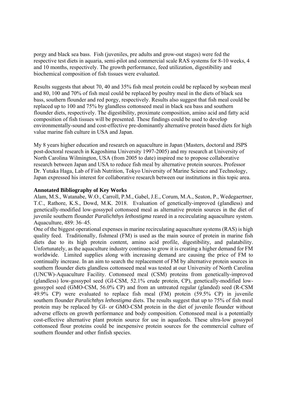porgy and black sea bass. Fish (juveniles, pre adults and grow-out stages) were fed the respective test diets in aquaria, semi-pilot and commercial scale RAS systems for 8-10 weeks, 4 and 10 months, respectively. The growth performance, feed utilization, digestibility and biochemical composition of fish tissues were evaluated.

Results suggests that about 70, 40 and 35% fish meal protein could be replaced by soybean meal and 80, 100 and 70% of fish meal could be replaced by poultry meal in the diets of black sea bass, southern flounder and red porgy, respectively. Results also suggest that fish meal could be replaced up to 100 and 75% by glandless cottonseed meal in black sea bass and southern flounder diets, respectively. The digestibility, proximate composition, amino acid and fatty acid composition of fish tissues will be presented. These findings could be used to develop environmentally-sound and cost-effective pre-dominantly alternative protein based diets for high value marine fish culture in USA and Japan.

My 8 years higher education and research on aquaculture in Japan (Masters, doctoral and JSPS post-doctoral research in Kagoshima University 1997-2005) and my research at University of North Carolina Wilmington, USA (from 2005 to date) inspired me to propose collaborative research between Japan and USA to reduce fish meal by alternative protein sources. Professor Dr. Yutaka Haga, Lab of Fish Nutrition, Tokyo University of Marine Science and Technology, Japan expressed his interest for collaborative research between our institutions in this topic area.

#### **Annotated Bibliography of Key Works**

Alam, M.S., Watanabe, W.O., Carroll, P.M., Gabel, J.E., Corum, M.A., Seaton, P., Wedegaertner, T.C., Rathore, K.S., Dowd, M.K. 2018. Evaluation of genetically-improved (glandless) and genetically-modified low-gossypol cottonseed meal as alternative protein sources in the diet of juvenile southern flounder *Paralichthys lethostigma* reared in a recirculating aquaculture system. Aquaculture, 489: 36–45.

One of the biggest operational expenses in marine recirculating aquaculture systems (RAS) is high quality feed. Traditionally, fishmeal (FM) is used as the main source of protein in marine fish diets due to its high protein content, amino acid profile, digestibility, and palatability. Unfortunately, as the aquaculture industry continues to grow it is creating a higher demand for FM worldwide. Limited supplies along with increasing demand are causing the price of FM to continually increase. In an aim to search the replacement of FM by alternative protein sources in southern flounder diets glandless cottonseed meal was tested at our University of North Carolina (UNCW)-Aquaculture Facility. Cottonseed meal (CSM) proteins from genetically-improved (glandless) low-gossypol seed (GI-CSM, 52.1% crude protein, CP), genetically-modified lowgossypol seed (GMO-CSM, 56.0% CP) and from an untreated regular (glanded) seed (R-CSM 49.9% CP) were evaluated to replace fish meal (FM) protein (59.5% CP) in juvenile southern flounder *Paralichthys lethostigma* diets. The results suggest that up to 75% of fish meal protein may be replaced by GI- or GMO-CSM protein in the diet of juvenile flounder without adverse effects on growth performance and body composition. Cottonseed meal is a potentially cost-effective alternative plant protein source for use in aquafeeds. These ultra-low gossypol cottonseed flour proteins could be inexpensive protein sources for the commercial culture of southern flounder and other finfish species.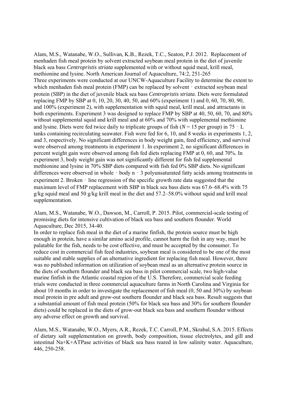Alam, M.S., Watanabe, W.O., Sullivan, K.B., Rezek, T.C., Seaton, P.J. 2012. Replacement of menhaden fish meal protein by solvent extracted soybean meal protein in the diet of juvenile black sea bass *Centropristis striata* supplemented with or without squid meal, krill meal, methionine and lysine. North American Journal of Aquaculture, 74:2, 251-265 Three experiments were conducted at our UNCW-Aquaculture Facility to determine the extent to which menhaden fish meal protein (FMP) can be replaced by solvent - extracted soybean meal protein (SBP) in the diet of juvenile black sea bass *Centropristis striata*. Diets were formulated replacing FMP by SBP at 0, 10, 20, 30, 40, 50, and 60% (experiment 1) and 0, 60, 70, 80, 90, and 100% (experiment 2), with supplementation with squid meal, krill meal, and attractants in both experiments. Experiment 3 was designed to replace FMP by SBP at 40, 50, 60, 70, and 80% without supplemental squid and krill meal and at 60% and 70% with supplemental methionine and lysine. Diets were fed twice daily to triplicate groups of fish (*N* = 15 per group) in 75‐L tanks containing recirculating seawater. Fish were fed for 6, 10, and 8 weeks in experiments 1, 2, and 3, respectively. No significant differences in body weight gain, feed efficiency, and survival were observed among treatments in experiment 1. In experiment 2, no significant differences in percent weight gain were observed among fish fed diets replacing FMP at 0, 60, and 70%. In experiment 3, body weight gain was not significantly different for fish fed supplemental methionine and lysine in 70% SBP diets compared with fish fed 0% SBP diets. No significant differences were observed in whole - body n - 3 polyunsaturated fatty acids among treatments in experiment 2. Broken - line regression of the specific growth rate data suggested that the maximum level of FMP replacement with SBP in black sea bass diets was 67.6–68.4% with 75 g/kg squid meal and 50 g/kg krill meal in the diet and  $57.2-58.0\%$  without squid and krill meal supplementation.

Alam, M.S., Watanabe, W.O., Dawson, M., Carroll, P. 2015. Pilot, commercial-scale testing of promising diets for intensive cultivation of black sea bass and southern flounder. World Aquaculture, Dec 2015, 34-40.

In order to replace fish meal in the diet of a marine finfish, the protein source must be high enough in protein, have a similar amino acid profile, cannot harm the fish in any way, must be palatable for the fish, needs to be cost effective, and must be accepted by the consumer. To reduce cost in commercial fish feed industries, soybean meal is considered to be one of the most suitable and stable supplies of an alternative ingredient for replacing fish meal. However, there was no published information on utilization of soybean meal as an alternative protein source in the diets of southern flounder and black sea bass in pilot commercial scale, two high-value marine finfish in the Atlantic coastal region of the U.S. Therefore, commercial scale feeding trials were conducted in three commercial aquaculture farms in North Carolina and Virginia for about 10 months in order to investigate the replacement of fish meal (0, 50 and 30%) by soybean meal protein in pre adult and grow-out southern flounder and black sea bass. Result suggests that a substantial amount of fish meal protein (50% for black sea bass and 30% for southern flounder diets) could be replaced in the diets of grow-out black sea bass and southern flounder without any adverse effect on growth and survival.

Alam, M.S., Watanabe, W.O., Myers, A.R., Rezek, T.C. Carroll, P.M., Skrabal, S.A. 2015. Effects of dietary salt supplementation on growth, body composition, tissue electrolytes, and gill and intestinal Na+K+ATPase activities of black sea bass reared in low salinity water. Aquaculture, 446, 250-258.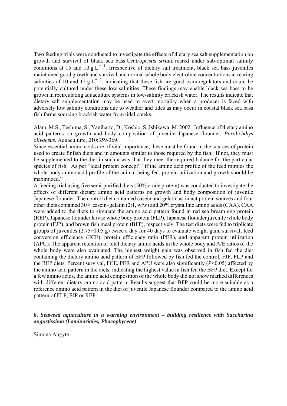Two feeding trials were conducted to investigate the effects of dietary sea salt supplementation on growth and survival of black sea bass *Centropristis striata* reared under sub-optimal salinity conditions at 15 and 10 g L<sup>-1</sup>. Irrespective of dietary salt treatment, black sea bass juveniles maintained good growth and survival and normal whole body electrolyte concentrations at rearing salinities of 10 and 15 g L<sup>-1</sup>, indicating that these fish are good osmoregulators and could be potentially cultured under these low salinities. These findings may enable black sea bass to be grown in recirculating aquaculture systems in low-salinity brackish water. The results indicate that dietary salt supplementation may be used to avert mortality when a producer is faced with adversely low salinity conditions due to weather and tides as may occur in coastal black sea bass fish farms sourcing brackish water from tidal creeks.

Alam, M.S., Teshima, S., Yaniharto, D., Koshio, S.,Ishikawa, M. 2002. Influence of dietary amino acid patterns on growth and body composition of juvenile Japanese flounder, *Paralichthys olivaceus*. Aquaculture, 210:359-369.

Since essential amino acids are of vital importance, these must be found in the sources of protein used to create finfish diets and in amounts similar to those required by the fish. If not, they must be supplemented to the diet in such a way that they meet the required balance for the particular species of fish. As per "ideal protein concept" "if the amino acid profile of the feed mimics the whole-body amino acid profile of the animal being fed, protein utilization and growth should be maximized."

A feeding trial using five semi-purified diets (50% crude protein) was conducted to investigate the effects of different dietary amino acid patterns on growth and body composition of juvenile Japanese flounder. The control diet contained casein and gelatin as intact protein sources and four other diets contained 30% casein–gelatin (2:1, w/w) and 20% crystalline amino acids (CAA). CAA were added to the diets to simulate the amino acid pattern found in red sea bream egg protein (REP), Japanese flounder larvae whole body protein (FLP), Japanese flounder juvenile whole body protein (FJP), and brown fish meal protein (BFP), respectively. The test diets were fed to triplicate groups of juveniles  $(2.75\pm0.05 \text{ g})$  twice a day for 40 days to evaluate weight gain, survival, feed conversion efficiency (FCE), protein efficiency ratio (PER), and apparent protein utilization (APU). The apparent retention of total dietary amino acids in the whole body and A/E ratios of the whole body were also evaluated. The highest weight gain was observed in fish fed the diet containing the dietary amino acid pattern of BFP followed by fish fed the control, FJP, FLP and the REP diets. Percent survival, FCE, PER and APU were also significantly (*P*<0.05) affected by the amino acid pattern in the diets, indicating the highest value in fish fed the BFP diet. Except for a few amino acids, the amino acid composition of the whole body did not show marked differences with different dietary amino acid pattern. Results suggest that BFP could be more suitable as a reference amino acid pattern in the diet of juvenile Japanese flounder compared to the amino acid pattern of FLP, FJP or REP.

#### **6.** *Seaweed aquaculture in a warming environment – building resilience with Saccharina angustissima (Laminariales, Phaeophyceae)*

Simona Augyte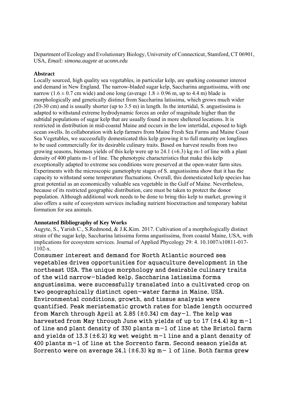Department of Ecology and Evolutionary Biology, University of Connecticut, Stamford, CT 06901, USA, *Email: simona.augyte at uconn.edu* 

#### **Abstract**

Locally sourced, high quality sea vegetables, in particular kelp, are sparking consumer interest and demand in New England. The narrow-bladed sugar kelp, Saccharina angustissima, with one narrow (1.6  $\pm$  0.7 cm wide) and one long (average 1.8  $\pm$  0.96 m, up to 4.4 m) blade is morphologically and genetically distinct from Saccharina latissima, which grows much wider (20-30 cm) and is usually shorter (up to 3.5 m) in length. In the intertidal, S. angustissima is adapted to withstand extreme hydrodynamic forces an order of magnitude higher than the subtidal populations of sugar kelp that are usually found in more sheltered locations. It is restricted in distribution in mid-coastal Maine and occurs in the low intertidal, exposed to high ocean swells. In collaboration with kelp farmers from Maine Fresh Sea Farms and Maine Coast Sea Vegetables, we successfully domesticated this kelp growing it to full maturity on longlines to be used commercially for its desirable culinary traits. Based on harvest results from two growing seasons, biomass yields of this kelp were up to 24.1 ( $\pm$ 6.3) kg m-1 of line with a plant density of 400 plants m-1 of line. The phenotypic characteristics that make this kelp exceptionally adapted to extreme sea conditions were preserved at the open-water farm sites. Experiments with the microscopic gametophyte stages of S. angustissima show that it has the capacity to withstand some temperature fluctuations. Overall, this domesticated kelp species has great potential as an economically valuable sea vegetable in the Gulf of Maine. Nevertheless, because of its restricted geographic distribution, care must be taken to protect the donor population. Although additional work needs to be done to bring this kelp to market, growing it also offers a suite of ecosystem services including nutrient bioextraction and temporary habitat formation for sea animals.

#### **Annotated Bibliography of Key Works**

Augyte, S., Yarish C., S.Redmond, & J.K.Kim. 2017. Cultivation of a morphologically distinct strain of the sugar kelp, Saccharina latissima forma angustissima, from coastal Maine, USA, with implications for ecosystem services. Journal of Applied Phycology 29: 4. 10.1007/s10811-017- 1102-x.

Consumer interest and demand for North Atlantic sourced sea vegetables drives opportunities for aquaculture development in the northeast USA. The unique morphology and desirable culinary traits of the wild narrow-bladed kelp, Saccharina latissima forma angustissima, were successfully translated into a cultivated crop on two geographically distinct open-water farms in Maine, USA. Environmental conditions, growth, and tissue analysis were quantified. Peak meristematic growth rates for blade length occurred from March through April at 2.85 (±0.34) cm day−1. The kelp was harvested from May through June with yields of up to 17 (±4.4) kg m−1 of line and plant density of 330 plants m−1 of line at the Bristol farm and yields of 13.3 (±6.2) kg wet weight m−1 line and a plant density of 400 plants m−1 of line at the Sorrento farm. Second season yields at Sorrento were on average 24.1 (±6.3) kg m− 1 of line. Both farms grew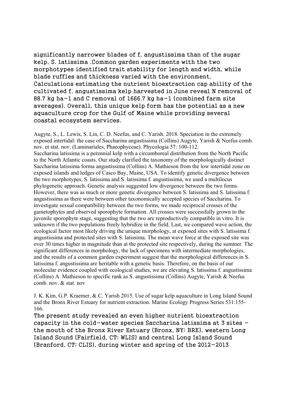significantly narrower blades of f. angustissima than of the sugar kelp, S. latissima .Common garden experiments with the two morphotypes identified trait stability for length and width, while blade ruffles and thickness varied with the environment. Calculations estimating the nutrient bioextraction cap ability of the cultivated f. angustissima kelp harvested in June reveal N removal of 88.7 kg ha−1 and C removal of 1666.7 kg ha−1 (combined farm site averages). Overall, this unique kelp form has the potential as a new aquaculture crop for the Gulf of Maine while providing several coastal ecosystem services.

Augyte, S., L. Lewis, S. Lin, C. D. Neefus, and C. Yarish. 2018. Speciation in the extremely exposed intertidal: the case of Saccharina angustissima (Collins) Augyte, Yarish & Neefus comb. nov. et stat. nov. (Laminariales, Phaeophyceae). Phycologia 57: 100-112. Saccharina latissima is a perennial kelp with a circumboreal distribution from the North Pacific to the North Atlantic coasts. Our study clarified the taxonomy of the morphologically distinct Saccharina latissima forma angustissima (Collins) A. Mathieson from the low intertidal zone on exposed islands and ledges of Casco Bay, Maine, USA. To identify genetic divergence between the two morphotypes, S. latissima and S. latissima f. angustissima, we used a multilocus phylogenetic approach. Genetic analysis suggested low divergence between the two forms. However, there was as much or more genetic divergence between S. latissima and S. latissima f. angustissima as there were between other taxonomically accepted species of Saccharina. To investigate sexual compatibility between the two forms, we made reciprocal crosses of the gametophytes and observed sporophyte formation. All crosses were successfully grown to the juvenile sporophyte stage, suggesting that the two are reproductively compatible in vitro. It is unknown if the two populations freely hybridize in the field. Last, we compared wave action, the ecological factor most likely driving the unique morphology, at exposed sites with S. latissima f. angustissima and protected sites with S. latissima. The mean wave force at the exposed site was over 30 times higher in magnitude than at the protected site respectively, during the summer. The significant differences in morphology, the lack of specimens with intermediate morphologies, and the results of a common garden experiment suggest that the morphological differences in S. latissima f. angustissima are heritable with a genetic basis. Therefore, on the basis of our molecular evidence coupled with ecological studies, we are elevating S. latissima f. angustissima (Collins) A. Mathieson to specific rank as S. angustissima (Collins) Augyte, Yarish & Neefus comb. nov. & stat. nov

J. K. Kim, G.P. Kraemer, & C. Yarish 2015. Use of sugar kelp aquaculture in Long Island Sound and the Bronx River Estuary for nutrient extraction. Marine Ecology Progress Series 531:155- 166.

The present study revealed an even higher nutrient bioextraction capacity in the cold-water species Saccharina latissima at  $3$  sites  $$ the mouth of the Bronx River Estuary (Bronx, NY; BRE), western Long Island Sound (Fairfield, CT; WLIS) and central Long Island Sound (Branford, CT; CLIS), during winter and spring of the 2012−2013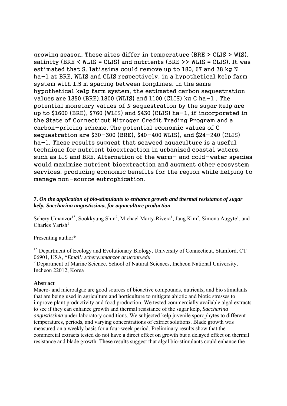growing season. These sites differ in temperature (BRE > CLIS > WIS), salinity (BRE  $\leq$  WLIS = CLIS) and nutrients (BRE  $\geq$  WLIS = CLIS). It was estimated that S. latissima could remove up to 180, 67 and 38 kg N ha−1 at BRE, WLIS and CLIS respectively, in a hypothetical kelp farm system with 1.5 m spacing between longlines. In the same hypothetical kelp farm system, the estimated carbon sequestration values are 1350 (BRE),1800 (WLIS) and 1100 (CLIS) kg C ha−1 . The potential monetary values of N sequestration by the sugar kelp are up to \$1600 (BRE), \$760 (WLIS) and \$430 (CLIS) ha−1, if incorporated in the State of Connecticut Nitrogen Credit Trading Program and a carbon-pricing scheme. The potential economic values of C sequestration are \$30−300 (BRE), \$40−400 WLIS), and \$24−240 (CLIS) ha−1. These results suggest that seaweed aquaculture is a useful technique for nutrient bioextraction in urbanized coastal waters, such as LIS and BRE. Alternation of the warm- and cold-water species would maximize nutrient bioextraction and augment other ecosystem services, producing economic benefits for the region while helping to manage non-source eutrophication.

#### **7.** *On the application of bio-stimulants to enhance growth and thermal resistance of sugar kelp, Saccharina angustissima, for aquaculture production*

Schery Umanzor<sup>1\*</sup>, Sookkyung Shin<sup>2</sup>, Michael Marty-Rivera<sup>1</sup>, Jang Kim<sup>2</sup>, Simona Augyte<sup>1</sup>, and  $Charles Yarish<sup>1</sup>$ 

Presenting author\*

<sup>1\*</sup> Department of Ecology and Evolutionary Biology, University of Connecticut, Stamford, CT 06901, USA, \**Email: schery.umanzor at uconn.edu* 

2 Department of Marine Science, School of Natural Sciences, Incheon National University, Incheon 22012, Korea

#### **Abstract**

Macro- and microalgae are good sources of bioactive compounds, nutrients, and bio stimulants that are being used in agriculture and horticulture to mitigate abiotic and biotic stresses to improve plant productivity and food production. We tested commercially available algal extracts to see if they can enhance growth and thermal resistance of the sugar kelp, *Saccharina angustissima* under laboratory conditions. We subjected kelp juvenile sporophytes to different temperatures, periods, and varying concentrations of extract solutions. Blade growth was measured on a weekly basis for a four-week period. Preliminary results show that the commercial extracts tested do not have a direct effect on growth but a delayed effect on thermal resistance and blade growth. These results suggest that algal bio-stimulants could enhance the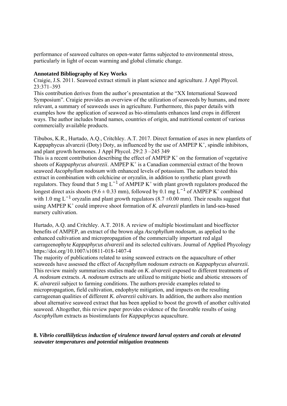performance of seaweed cultures on open-water farms subjected to environmental stress, particularly in light of ocean warming and global climatic change.

#### **Annotated Bibliography of Key Works**

Craigie, J.S. 2011. Seaweed extract stimuli in plant science and agriculture. J Appl Phycol. 23:371–393

This contribution derives from the author's presentation at the "XX International Seaweed Symposium". Craigie provides an overview of the utilization of seaweeds by humans, and more relevant, a summary of seaweeds uses in agriculture. Furthermore, this paper details with examples how the application of seaweed as bio-stimulants enhances land crops in different ways. The author includes brand names, countries of origin, and nutritional content of various commercially available products.

Tibubos, K.R., Hurtado, A.Q., Critchley. A.T. 2017. Direct formation of axes in new plantlets of Kappaphycus alvarezii (Doty) Doty, as influenced by the use of AMPEP  $K^+$ , spindle inhibitors, and plant growth hormones. J Appl Phycol. 29:2 3 –245 349 This is a recent contribution describing the effect of AMPEP  $K^+$  on the formation of vegetative

shoots of *Kappaphycus alvarezii*. AMPEP K<sup>+</sup> is a Canadian commercial extract of the brown seaweed *Ascophyllum nodosum* with enhanced levels of potassium. The authors tested this extract in combination with colchicine or oryzalin, in addition to synthetic plant growth regulators. They found that 5 mg  $L^{-1}$  of AMPEP K<sup>+</sup> with plant growth regulators produced the longest direct axis shoots (9.6 ± 0.33 mm), followed by 0.1 mg L<sup>-1</sup> of AMPEP K<sup>+</sup> combined with 1.0 mg L<sup>-1</sup> oryzalin and plant growth regulators (8.7  $\pm$ 0.00 mm). Their results suggest that using AMPEP K<sup>+</sup> could improve shoot formation of *K. alvarezii* plantlets in land-sea-based nursery cultivation.

Hurtado, A.Q. and Critchley. A.T. 2018. A review of multiple biostimulant and bioeffector benefits of AMPEP, an extract of the brown alga *Ascophyllum nodosum*, as applied to the enhanced cultivation and micropropagation of the commercially important red algal carrageenophyte *Kappaphycus alvarezii* and its selected cultivars. Journal of Applied Phycology https://doi.org/10.1007/s10811-018-1407-4

The majority of publications related to using seaweed extracts on the aquaculture of other seaweeds have assessed the effect of *Ascophyllum nodosum extracts* on *Kappaphycus alvarezii.* This review mainly summarizes studies made on *K. alvarezii* exposed to different treatments of *A. nodosum* extracts. *A. nodosum* extracts are utilized to mitigate biotic and abiotic stressors of *K. alvarezii* subject to farming conditions. The authors provide examples related to micropropagation, field cultivation, endophyte mitigation, and impacts on the resulting carrageenan qualities of different *K. alvarezii* cultivars. In addition, the authors also mention about alternative seaweed extract that has been applied to boost the growth of another cultivated seaweed. Altogether, this review paper provides evidence of the favorable results of using *Ascophyllum* extracts as biostimulants for *Kappaphycus* aquaculture.

#### **8.** *Vibrio coralliilyticus induction of virulence toward larval oysters and corals at elevated seawater temperatures and potential mitigation treatments*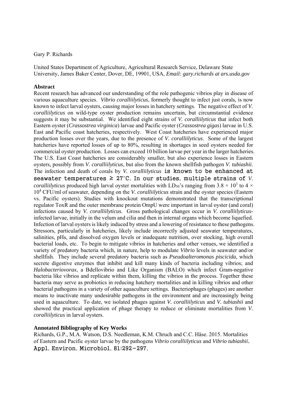#### Gary P. Richards

United States Department of Agriculture, Agricultural Research Service, Delaware State University, James Baker Center, Dover, DE, 19901, USA, *Email: gary.richards at ars.usda.gov* 

#### **Abstract**

Recent research has advanced our understanding of the role pathogenic vibrios play in disease of various aquaculture species. *Vibrio coralliilyticus*, formerly thought to infect just corals, is now known to infect larval oysters, causing major losses in hatchery settings. The negative effect of *V. coralliilyticus* on wild-type oyster production remains uncertain, but circumstantial evidence suggests it may be substantial. We identified eight strains of *V. coralliilyticus* that infect both Eastern oyster (*Crassostrea virginica*) larvae and Pacific oyster (*Crassostrea gigas*) larvae in U.S. East and Pacific coast hatcheries, respectively. West Coast hatcheries have experienced major production losses over the years, due to the presence of *V. coralliilyticus*. Some of the largest hatcheries have reported losses of up to 80%, resulting in shortages in seed oysters needed for commercial oyster production. Losses can exceed 10 billion larvae per year in the larger hatcheries. The U.S. East Coast hatcheries are considerably smaller, but also experience losses in Eastern oysters, possibly from *V. coralliilyticus*, but also from the known shellfish pathogen *V. tubiashii*. The infection and death of corals by *V. coralliilyticus* is known to be enhanced at seawater temperatures  $\geq$  27°C. In our studies, multiple strains of *V*. *coralliilyticus* produced high larval oyster mortalities with LD<sub>50</sub>'s ranging from 3.8  $\times$  10<sup>3</sup> to 4  $\times$ 10<sup>4</sup> CFU/ml of seawater, depending on the *V. coralliilyticus* strain and the oyster species (Eastern vs. Pacific oysters). Studies with knockout mutations demonstrated that the transcriptional regulator ToxR and the outer membrane protein OmpU were important in larval oyster (and coral) infections caused by *V. coralliilyticus*. Gross pathological changes occur in *V. coralliilyticus*infected larvae, initially in the velum and cilia and then in internal organs which become liquefied. Infection of larval oysters is likely induced by stress and a lowering of resistance to these pathogens. Stressors, particularly in hatcheries, likely include incorrectly adjusted seawater temperatures, salinities, pHs, and dissolved oxygen levels or inadequate nutrition, over stocking, high overall bacterial loads, etc. To begin to mitigate vibrios in hatcheries and other venues, we identified a variety of predatory bacteria which, in nature, help to modulate *Vibrio* levels in seawater and/or shellfish. They include several predatory bacteria such as *Pseudoalteromonas piscicida*, which secrete digestive enzymes that inhibit and kill many kinds of bacteria including vibrios; and *Halobacteriovorax*, a Bdellovibrio and Like Organism (BALO) which infect Gram-negative bacteria like vibrios and replicate within them, killing the vibrios in the process. Together these bacteria may serve as probiotics in reducing hatchery mortalities and in killing vibrios and other bacterial pathogens in a variety of other aquaculture settings. Bacteriophages (phages) are another means to inactivate many undesirable pathogens in the environment and are increasingly being used in aquaculture. To date, we isolated phages against *V. coralliilyticus* and *V. tubiashii* and showed the practical application of phage therapy to reduce or eliminate mortalities from *V. coralliilyticus* in larval oysters.

#### **Annotated Bibliography of Key Works**

Richards, G.P., M.A. Watson, D.S. Needleman, K.M. Chruch and C.C. Häse. 2015. Mortalities of Eastern and Pacific oyster larvae by the pathogens *Vibrio coralliilyticus* and *Vibrio tubiashii*. Appl. Environ. Microbiol. 81:292−297.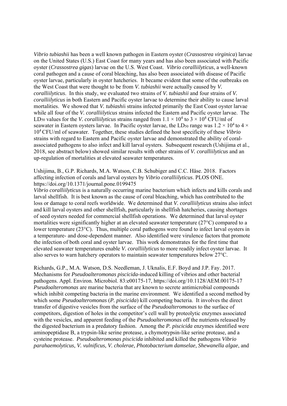*Vibrio tubiashii* has been a well known pathogen in Eastern oyster (*Crassostrea virginica*) larvae on the United States (U.S.) East Coast for many years and has also been associated with Pacific oyster (*Crassostrea gigas*) larvae on the U.S. West Coast. *Vibrio coralliilyticus*, a well-known coral pathogen and a cause of coral bleaching, has also been associated with disease of Pacific oyster larvae, particularly in oyster hatcheries. It became evident that some of the outbreaks on the West Coast that were thought to be from *V. tubiashii* were actually caused by *V. coralliilyticus*. In this study, we evaluated two strains of *V. tubiashii* and four strains of *V. coralliilyticus* in both Eastern and Pacific oyster larvae to determine their ability to cause larval mortalities. We showed that *V. tubiashi*i strains infected primarily the East Coast oyster larvae while all four of the *V. coralliilyticus* strains infected the Eastern and Pacific oyster larvae. The LD<sub>50</sub> values for the *V. coralliilyticus* strains ranged from  $1.1 \times 10^4$  to  $3 \times 10^4$  CFU/ml of seawater in Eastern oysters larvae. In Pacific oyster larvae, the LD<sub>50</sub> range was  $1.2 \times 10^4$  to  $4 \times$ 104 CFU/ml of seawater. Together, these studies defined the host specificity of these *Vibrio* strains with regard to Eastern and Pacific oyster larvae and demonstrated the ability of coralassociated pathogens to also infect and kill larval oysters. Subsequent research (Ushijima et al., 2018, see abstract below) showed similar results with other strains of *V. coralliilyticus* and an up-regulation of mortalities at elevated seawater temperatures.

Ushijima, B., G.P. Richards, M.A. Watson, C.B. Schubiger and C.C. Häse. 2018. Factors affecting infection of corals and larval oysters by *Vibrio coralliilyticus*. PLOS ONE. https://doi.org/10.1371/journal.pone.0199475

*Vibrio coralliilyticus* is a naturally occurring marine bacterium which infects and kills corals and larval shellfish. It is best known as the cause of coral bleaching, which has contributed to the loss or damage to coral reefs worldwide. We determined that *V. coralliilyticus* strains also infect and kill larval oysters and other shellfish, particularly in shellfish hatcheries, causing shortages of seed oysters needed for commercial shellfish operations. We determined that larval oyster mortalities were significantly higher at an elevated seawater temperature (27°C) compared to a lower temperature (23°C). Thus, multiple coral pathogens were found to infect larval oysters in a temperature- and dose-dependent manner. Also identified were virulence factors that promote the infection of both coral and oyster larvae. This work demonstrates for the first time that elevated seawater temperatures enable *V. coralliilyticus* to more readily infect oyster larvae. It also serves to warn hatchery operators to maintain seawater temperatures below 27°C.

Richards, G.P., M.A. Watson, D.S. Needleman, J. Uknalis, E.F. Boyd and J.P. Fay. 2017. Mechanisms for *Pseudoalteromonas piscicida*-induced killing of vibrios and other bacterial pathogens. Appl. Environ. Microbiol. 83:e00175-17, https://doi.org/10.1128/AEM.00175-17 *Pseudoalteromonas* are marine bacteria that are known to secrete antimicrobial compounds which inhibit competing bacteria in the marine environment. We identified a second method by which some *Pseudoalteromonas* (*P. piscicida*) kill competing bacteria. It involves the direct transfer of digestive vesicles from the surface of the *Pseudoalteromonas* to the surface of competitors, digestion of holes in the competitor's cell wall by proteolytic enzymes associated with the vesicles, and apparent feeding of the *Pseudoalteromonas* off the nutrients released by the digested bacterium in a predatory fashion. Among the *P. piscicida* enzymes identified were aminopeptidase B, a trypsin-like serine protease, a chymotrypsin-like serine protease, and a cysteine protease. *Pseudoalteromonas piscicida* inhibited and killed the pathogens *Vibrio parahaemolyticus, V. vulnificus, V. cholerae, Photobacterium damselae, Shewanella algae*, and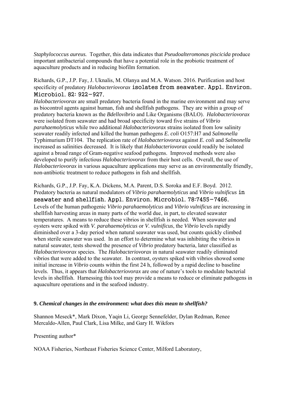*Staphylococcus aureus.* Together, this data indicates that *Pseudoalteromonas piscicida* produce important antibacterial compounds that have a potential role in the probiotic treatment of aquaculture products and in reducing biofilm formation.

Richards, G.P., J.P. Fay, J. Uknalis, M. Olanya and M.A. Watson. 2016. Purification and host specificity of predatory *Halobacteriovorax* isolates from seawater. Appl. Environ. Microbiol. 82: 922−927.

*Halobacteriovorax* are small predatory bacteria found in the marine environment and may serve as biocontrol agents against human, fish and shellfish pathogens. They are within a group of predatory bacteria known as the *Bdellovibrio* and Like Organisms (BALO). *Halobacteriovorax* were isolated from seawater and had broad specificity toward five strains of *Vibrio parahaemolyticus* while two additional *Halobacteriovorax* strains isolated from low salinity seawater readily infected and killed the human pathogens *E. coli* O157:H7 and *Salmonella* Typhimurium DT104. The replication rate of *Halobacteriovorax* against *E. coli* and *Salmonella*  increased as salinities decreased. It is likely that *Halobacteriovorax* could readily be isolated against a broad range of Gram-negative seafood pathogens. Improved methods were also developed to purify infectious *Halobacteriovorax* from their host cells. Overall, the use of *Halobacteriovorax* in various aquaculture applications may serve as an environmentally friendly, non-antibiotic treatment to reduce pathogens in fish and shellfish.

Richards, G.P., J.P. Fay, K.A. Dickens, M.A. Parent, D.S. Soroka and E.F. Boyd. 2012. Predatory bacteria as natural modulators of *Vibrio parahaemolyticus* and *Vibrio vulnificus* in seawater and shellfish. Appl. Environ. Microbiol. 78:7455−7466. Levels of the human pathogenic *Vibrio parahaemolyticus* and *Vibrio vulnificus* are increasing in shellfish harvesting areas in many parts of the world due, in part, to elevated seawater temperatures. A means to reduce these vibrios in shellfish is needed. When seawater and oysters were spiked with *V. parahaemolyticus* or *V. vulnificus*, the *Vibrio* levels rapidly diminished over a 3-day period when natural seawater was used, but counts quickly climbed when sterile seawater was used. In an effort to determine what was inhibiting the vibrios in natural seawater, tests showed the presence of *Vibrio* predatory bacteria, later classified as *Halobacteriovorax* species. The *Halobacteriovorax* in natural seawater readily eliminated vibrios that were added to the seawater. In contrast, oysters spiked with vibrios showed some initial increase in *Vibrio* counts within the first 24 h, followed by a rapid decline to baseline levels. Thus, it appears that *Halobacteriovorax* are one of nature's tools to modulate bacterial levels in shellfish. Harnessing this tool may provide a means to reduce or eliminate pathogens in aquaculture operations and in the seafood industry.

#### **9.** *Chemical changes in the environment: what does this mean to shellfish?*

Shannon Meseck\*, Mark Dixon, Yaqin Li, George Sennefelder, Dylan Redman, Renee Mercaldo-Allen, Paul Clark, Lisa Milke, and Gary H. Wikfors

Presenting author\*

NOAA Fisheries, Northeast Fisheries Science Center, Milford Laboratory,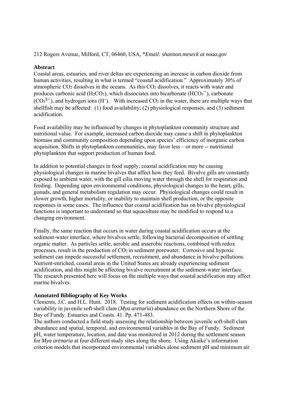#### 212 Rogers Avenue, Milford, CT, 06460, USA, \**Email: shannon.meseck at noaa.gov*

#### **Abstract**

Coastal areas, estuaries, and river deltas are experiencing an increase in carbon dioxide from human activities, resulting in what is termed "coastal acidification." Approximately 30% of atmospheric  $CO<sub>2</sub>$  dissolves in the oceans. As this  $CO<sub>2</sub>$  dissolves, it reacts with water and produces carbonic acid (H<sub>2</sub>CO<sub>3</sub>), which dissociates into bicarbonate (HCO<sub>3</sub><sup>-</sup>), carbonate  $(CO<sub>3</sub><sup>2</sup>)$ , and hydrogen ions (H<sup>+</sup>). With increased CO<sub>2</sub> in the water, there are multiple ways that shellfish may be affected: (1) food availability; (2) physiological responses, and (3) sediment acidification.

Food availability may be influenced by changes in phytoplankton community structure and nutritional value. For example, increased carbon dioxide may cause a shift in phytoplankton biomass and community composition depending upon species' efficiency of inorganic carbon acquisition. Shifts in phytoplankton communities, may favor less – or more -- nutritional phytoplankton that support production of human food.

In addition to potential changes in food supply, coastal acidification may be causing physiological changes in marine bivalves that affect how they feed. Bivalve gills are constantly exposed to ambient water, with the gill cilia moving water through the shell for respiration and feeding. Depending upon environmental conditions, physiological changes to the heart, gills, gonads, and general metabolism regulation may occur. Physiological changes could result in slower growth, higher mortality, or inability to maintain shell production, or the opposite responses in some cases. The influence that coastal acidification has on bivalve physiological functions is important to understand so that aquaculture may be modified to respond to a changing environment.

Finally, the same reaction that occurs in water during coastal acidification occurs at the sediment-water interface, where bivalves settle, following bacterial decomposition of settling organic matter. As particles settle, aerobic and anaerobic reactions, combined with redox processes, result in the production of  $CO<sub>2</sub>$  in sediment porewater. Corrosive and hypoxic sediment can impede successful settlement, recruitment, and abundance in bivalve pollutions. Nutrient-enriched, coastal areas in the United States are already experiencing sediment acidification, and this might be affecting bivalve recruitment at the sediment-water interface. The research presented here will focus on the multiple ways that coastal acidification may affect marine bivalves.

#### **Annotated Bibliography of Key Works**

Clements, J.C. and H.L. Hunt. 2018. Testing for sediment acidification effects on within-season variability in juvenile soft-shell clam (*Mya arenaria*) abundance on the Northern Shore of the Bay of Fundy. Estuaries and Coasts. 41. Pp. 471-483.

The authors conducted a field study assessing the relationship between juvenile soft-shell clam abundance and spatial, temporal, and environmental variables in the Bay of Fundy. Sediment pH, water temperature, location, and date was monitored in 2012 during the settlement season for *Mya arenaria* at four different study sites along the shore. Using Akaike's information criterion models that incorporated environmental variables alone sediment pH and minimum air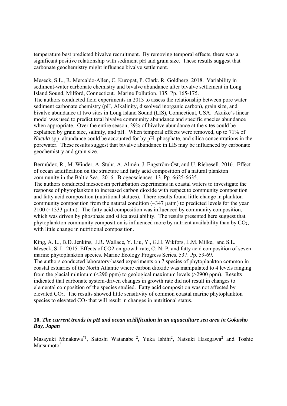temperature best predicted bivalve recruitment. By removing temporal effects, there was a significant positive relationship with sediment pH and grain size. These results suggest that carbonate geochemistry might influence bivalve settlement.

Meseck, S.L., R. Mercaldo-Allen, C. Kuropat, P. Clark. R. Goldberg. 2018. Variability in sediment-water carbonate chemistry and bivalve abundance after bivalve settlement in Long Island Sound, Milford, Connecticut. Marine Pollution. 135. Pp. 165-175. The authors conducted field experiments in 2013 to assess the relationship between pore water sediment carbonate chemistry (pH, Alkalinity, dissolved inorganic carbon), grain size, and bivalve abundance at two sites in Long Island Sound (LIS), Connecticut, USA. Akaike's linear model was used to predict total bivalve community abundance and specific species abundance when appropriate. Over the entire season, 29% of bivalve abundance at the sites could be explained by grain size, salinity, and pH. When temporal effects were removed, up to 71% of *Nucula* spp. abundance could be accounted for by pH, phosphate, and silica concentrations in the porewater. These results suggest that bivalve abundance in LIS may be influenced by carbonate geochemistry and grain size.

Bermúdez, R., M. Winder, A. Stuhr, A. Almén, J. Engström-Öst, and U. Riebesell. 2016. Effect of ocean acidification on the structure and fatty acid composition of a natural plankton community in the Baltic Sea. 2016. Biogeosciences. 13. Pp. 6625-6635. The authors conducted mesocosm perturbation experiments in coastal waters to investigate the response of phytoplankton to increased carbon dioxide with respect to community composition and fatty acid composition (nutritional statues). There results found little change in plankton community composition from the natural condition  $(\sim]347 \mu atm)$  to predicted levels for the year 2100 (~1333 µatm). The fatty acid composition was influenced by community composition, which was driven by phosphate and silica availability. The results presented here suggest that phytoplankton community composition is influenced more by nutrient availability than by CO2, with little change in nutritional composition.

King, A. L., B.D. Jenkins, J.R. Wallace, Y. Liu, Y., G.H. Wikfors, L.M. Milke, and S.L. Meseck, S. L. 2015. Effects of CO2 on growth rate, C: N: P, and fatty acid composition of seven marine phytoplankton species. Marine Ecology Progress Series. 537. Pp. 59-69. The authors conducted laboratory-based experiments on 7 species of phytoplankton common in coastal estuaries of the North Atlantic where carbon dioxide was manipulated to 4 levels ranging from the glacial minimum ( $\leq$ 290 ppm) to geological maximum levels ( $\geq$ 2900 ppm). Results indicated that carbonate system-driven changes in growth rate did not result in changes to elemental composition of the species studied. Fatty acid composition was not affected by elevated CO2. The results showed little sensitivity of common coastal marine phytoplankton species to elevated CO<sub>2</sub> that will result in changes in nutritional status.

#### **10.** *The current trends in pH and ocean acidification in an aquaculture sea area in Gokasho Bay, Japan*

Masayuki Minakawa<sup>\*1</sup>, Satoshi Watanabe<sup>2</sup>, Yuka Ishihi<sup>2</sup>, Natsuki Hasegawa<sup>2</sup> and Toshie Matsumoto $2$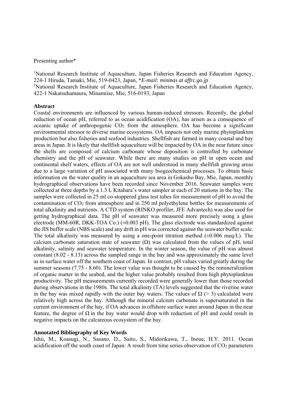#### Presenting author\*

<sup>1</sup>National Research Institute of Aquaculture, Japan Fisheries Research and Education Agency, 224-1 Hiruda, Tamaki, Mie, 519-0423, Japan, \**E-mail: minmas at affrc.go.jp*  <sup>2</sup>National Research Institute of Aquaculture, Japan Fisheries Research and Education Agency, 422-1 Nakatsuhamaura, Minamiise, Mie, 516-0193, Japan

#### **Abstract**

Coastal environments are influenced by various human-induced stressors. Recently, the global reduction of ocean pH, referred to as ocean acidification (OA), has arisen as a consequence of oceanic uptake of anthropogenic CO2 from the atmosphere. OA has become a significant environmental stressor to diverse marine ecosystems. OA impacts not only marine phytoplankton production but also fisheries and seafood industries. Shellfish are farmed in many coastal and bay areas in Japan. It is likely that shellfish aquaculture will be impacted by OA in the near future since the shells are composed of calcium carbonate whose deposition is controlled by carbonate chemistry and the pH of seawater. While there are many studies on pH in open ocean and continental shelf waters, effects of OA are not well understood in many shellfish growing areas due to a large variation of pH associated with many biogeochemical processes. To obtain basic information on the water quality in an aquaculture sea area in Gokasho Bay, Mie, Japan, monthly hydrographical observations have been recorded since November 2016. Seawater samples were collected at three depths by a 1.3 L Kitahara's water sampler at each of 20 stations in the bay. The samples were collected in 25 ml co-stoppered glass test tubes for measurement of pH to avoid the contamination of CO2 from atmosphere and in 250 ml polyethylene bottles for measurements of total alkalinity and nutrients. A CTD system (RINKO profiler, JFE Advantech) was also used for getting hydrographical data. The pH of seawater was measured more precisely using a glass electrode (MM-60R, DKK-TOA Co.) (±0.003 pH). The glass electrode was standardized against the JIS buffer scale (NBS scale) and any drift in pH was corrected against the seawater buffer scale. The total alkalinity was measured by using a one-point titration method  $(\pm 0.006 \text{ meq/L})$ . The calcium carbonate saturation state of seawater  $(\Omega)$  was calculated from the values of pH, total alkalinity, salinity and seawater temperature. In the winter season, the value of pH was almost constant (8.02 - 8.13) across the sampled range in the bay and was approximately the same level as in surface water off the southern coast of Japan. In contrast, pH values varied greatly during the summer seasons (7.75 - 8.60). The lower value was thought to be caused by the remineralization of organic matter in the seabed, and the higher value probably resulted from high phytoplankton productivity. The pH measurements currently recorded were generally lower than those recorded during observations in the 1980s. The total alkalinity (TA) levels suggested that the riverine water in the bay was mixed rapidly with the outer bay waters. The values of  $\Omega$  (> 3) calculated were relatively high across the bay. Although the mineral calcium carbonate is supersaturated in the current environment of the bay, if OA advances in offshore surface water around Japan in the near feature, the degree of  $\Omega$  in the bay water would drop with reduction of pH and could result in negative impacts on the calcareous ecosystem of the bay.

#### **Annotated Bibliography of Key Words**

Ishii, M., Koasugi, N., Sasano, D., Saito, S., Midorikawa, T., Inoue, H.Y. 2011. Ocean acidification off the south coast of Japan: A result from time series observation of CO<sub>2</sub> parameters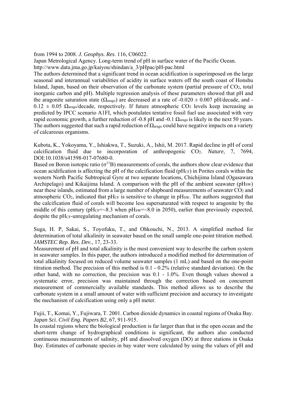from 1994 to 2008. *J. Geophys. Res*. 116, C06022.

Japan Metrological Agency. Long-term trend of pH in surface water of the Pacific Ocean. http://www.data.jma.go.jp/kaiyou/shindan/a\_3/pHpac/pH-pac.html

The authors determined that a significant trend in ocean acidification is superimposed on the large seasonal and interannual variabilities of acidity in surface waters off the south coast of Honshu Island, Japan, based on their observation of the carbonate system (partial pressure of  $CO<sub>2</sub>$ , total inorganic carbon and pH). Multiple regression analysis of these parameters showed that pH and the aragonite saturation state ( $\Omega_{\text{araso}}$ ) are decreased at a rate of -0.020  $\pm$  0.007 pH/decade, and - $0.12 \pm 0.05$   $\Omega_{\text{arago}}$ /decade, respectively. If future atmospheric CO<sub>2</sub> levels keep increasing as predicted by IPCC scenario A1FI, which postulates tentative fossil fuel use associated with very rapid economic growth, a further reduction of -0.8 pH and -0.1  $\Omega_{\text{arago}}$  is likely in the next 50 years. The authors suggested that such a rapid reduction of  $\Omega_{\text{arago}}$  could have negative impacts on a variety of calcareous organisms.

Kubota, K., Yokoyama, Y., Ishiakwa, T., Suzuki, A., Ishii, M. 2017. Rapid decline in pH of coral calcification fluid due to incorporation of anthropogenic CO2. *Nature*, 7, 7694, DOI:10.1038/s41598-017-07680-0.

Based on Boron isotopic ratio ( $\sigma$ <sup>11</sup>B) measurements of corals, the authors show clear evidence that ocean acidification is affecting the pH of the calcification fluid (pHcF) in Porites corals within the western North Pacific Subtropical Gyre at two separate locations, Chichijima Island (Ogasawara Archipelago) and Kikaijima Island. A comparison with the pH of the ambient seawater ( $pHsw$ ) near these islands, estimated from a large number of shipboard measurements of seawater CO<sub>2</sub> and atmospheric  $CO<sub>2</sub>$ , indicated that pH $_{CF}$  is sensitive to change in pHsw. The authors suggested that the calcification fluid of corals will become less supersaturated with respect to aragonite by the middle of this century ( $pHCF = ~8.3$  when  $pHSW = ~8.0$  in 2050), earlier than previously expected, despite the pH<sub>CF</sub>-unregulating mechanism of corals.

Suga, H. P, Sakai, S., Toyofuku, T., and Ohkouchi, N., 2013. A simplified method for determination of total alkalinity in seawater based on the small sample one-point titration method. *JAMSTEC Rep. Res. Dev.*, 17, 23-33.

Measurement of pH and total alkalinity is the most convenient way to describe the carbon system in seawater samples. In this paper, the authors introduced a modified method for determination of total alkalinity focused on reduced volume seawater samples (1 mL) and based on the one-point titration method. The precision of this method is 0.1 - 0.2% (relative standard deviation). On the other hand, with no correction, the precision was 0.1 - 1.0%. Even though values showed a systematic error, precision was maintained through the correction based on concurrent measurement of commercially available standards. This method allows us to describe the carbonate system in a small amount of water with sufficient precision and accuracy to investigate the mechanism of calcification using only a pH meter.

Fujii, T., Komai, Y., Fujiwara, T. 2001. Carbon dioxide dynamics in coastal regions of Osaka Bay. *Japan Sci. Civil Eng. Papers B2*, 67, 911-915.

In coastal regions where the biological production is far larger than that in the open ocean and the short-term change of hydrographical conditions is significant, the authors also conducted continuous measurements of salinity, pH and dissolved oxygen (DO) at three stations in Osaka Bay. Estimates of carbonate species in bay water were calculated by using the values of pH and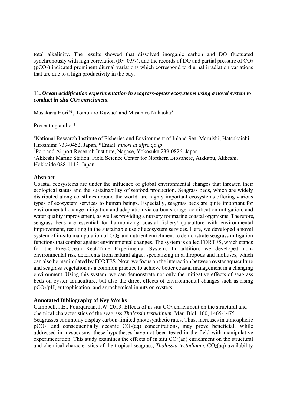total alkalinity. The results showed that dissolved inorganic carbon and DO fluctuated synchronously with high correlation ( $R^2=0.97$ ), and the records of DO and partial pressure of CO<sub>2</sub> (pCO2) indicated prominent diurnal variations which correspond to diurnal irradiation variations that are due to a high productivity in the bay.

#### **11.** *Ocean acidification experimentation in seagrass-oyster ecosystems using a novel system to conduct in-situ CO2 enrichment*

Masakazu Hori<sup>1\*</sup>, Tomohiro Kuwae<sup>2</sup> and Masahiro Nakaoka<sup>3</sup>

#### Presenting author\*

<sup>1</sup>National Research Institute of Fisheries and Environment of Inland Sea, Maruishi, Hatsukaichi, Hiroshima 739-0452, Japan, \*Email: *mhori at affrc.go.jp*  2 Port and Airport Research Institute, Nagase, Yokosuka 239-0826, Japan <sup>3</sup> Akkeshi Marine Station, Field Science Center for Northern Biosphere, Aikkapu, Akkeshi, Hokkaido 088-1113, Japan

#### **Abstract**

Coastal ecosystems are under the influence of global environmental changes that threaten their ecological status and the sustainability of seafood production. Seagrass beds, which are widely distributed along coastlines around the world, are highly important ecosystems offering various types of ecosystem services to human beings. Especially, seagrass beds are quite important for environmental change mitigation and adaptation via carbon storage, acidification mitigation, and water quality improvement, as well as providing a nursery for marine coastal organisms. Therefore, seagrass beds are essential for harmonizing coastal fishery/aquaculture with environmental improvement, resulting in the sustainable use of ecosystem services. Here, we developed a novel system of in-situ manipulation of  $CO<sub>2</sub>$  and nutrient enrichment to demonstrate seagrass mitigation functions that combat against environmental changes. The system is called FORTES, which stands for the Free-Ocean Real-Time Experimental System. In addition, we developed nonenvironmental risk deterrents from natural algae, specializing in arthropods and molluscs, which can also be manipulated by FORTES. Now, we focus on the interaction between oyster aquaculture and seagrass vegetation as a common practice to achieve better coastal management in a changing environment. Using this system, we can demonstrate not only the mitigative effects of seagrass beds on oyster aquaculture, but also the direct effects of environmental changes such as rising pCO2/pH, eutrophication, and agrochemical inputs on oysters.

#### **Annotated Bibliography of Key Works**

Campbell, J.E., Fourqurean, J.W. 2013. Effects of in situ CO<sub>2</sub> enrichment on the structural and chemical characteristics of the seagrass *Thalassia testudinum*. Mar. Biol. 160, 1465-1475. Seagrasses commonly display carbon-limited photosynthetic rates. Thus, increases in atmospheric  $pCO<sub>2</sub>$ , and consequentially oceanic  $CO<sub>2</sub>(aq)$  concentrations, may prove beneficial. While addressed in mesocosms, these hypotheses have not been tested in the field with manipulative experimentation. This study examines the effects of in situ  $CO<sub>2</sub>(aq)$  enrichment on the structural and chemical characteristics of the tropical seagrass, *Thalassia testudinum*. CO<sub>2</sub>(aq) availability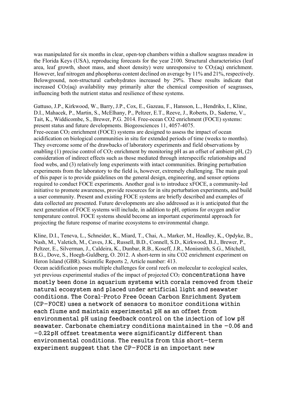was manipulated for six months in clear, open-top chambers within a shallow seagrass meadow in the Florida Keys (USA), reproducing forecasts for the year 2100. Structural characteristics (leaf area, leaf growth, shoot mass, and shoot density) were unresponsive to  $CO<sub>2</sub>(aa)$  enrichment. However, leaf nitrogen and phosphorus content declined on average by 11% and 21%, respectively. Belowground, non-structural carbohydrates increased by 29%. These results indicate that increased  $CO<sub>2</sub>(aq)$  availability may primarily alter the chemical composition of seagrasses, influencing both the nutrient status and resilience of these systems.

Gattuso, J.P., Kirkwood, W., Barry, J.P., Cox, E., Gazeau, F., Hansson, L., Hendriks, I., Kline, D.I., Mahacek, P., Martin, S., McElhany, P., Peltzer, E.T., Reeve, J., Roberts, D., Saderne, V., Tait, K., Widdicombe, S., Brewer, P.G. 2014. Free-ocean CO2 enrichment (FOCE) systems: present status and future developments. Biogeosciences 11, 4057-4075. Free-ocean CO2 enrichment (FOCE) systems are designed to assess the impact of ocean acidification on biological communities in situ for extended periods of time (weeks to months). They overcome some of the drawbacks of laboratory experiments and field observations by enabling (1) precise control of  $CO<sub>2</sub>$  enrichment by monitoring pH as an offset of ambient pH, (2) consideration of indirect effects such as those mediated through interspecific relationships and food webs, and (3) relatively long experiments with intact communities. Bringing perturbation experiments from the laboratory to the field is, however, extremely challenging. The main goal of this paper is to provide guidelines on the general design, engineering, and sensor options required to conduct FOCE experiments. Another goal is to introduce xFOCE, a community-led initiative to promote awareness, provide resources for in situ perturbation experiments, and build a user community. Present and existing FOCE systems are briefly described and examples of data collected are presented. Future developments are also addressed as it is anticipated that the next generation of FOCE systems will include, in addition to pH, options for oxygen and/or temperature control. FOCE systems should become an important experimental approach for projecting the future response of marine ecosystems to environmental change.

Kline, D.I., Teneva, L., Schneider, K., Miard, T., Chai, A., Marker, M., Headley, K., Opdyke, B., Nash, M., Valetich, M., Caves, J.K., Russell, B.D., Connell, S.D., Kirkwood, B.J., Brewer, P., Peltzer, E., Silverman, J., Caldeira, K., Dunbar, R.B., Koseff, J.R., Monismith, S.G., Mitchell, B.G., Dove, S., Hoegh-Guldberg, O. 2012. A short-term in situ CO2 enrichment experiment on Heron Island (GBR). Scientific Reports 2, Article number: 413.

Ocean acidification poses multiple challenges for coral reefs on molecular to ecological scales, yet previous experimental studies of the impact of projected CO<sub>2</sub> concentrations have mostly been done in aquarium systems with corals removed from their natural ecosystem and placed under artificial light and seawater conditions. The Coral–Proto Free Ocean Carbon Enrichment System (CP-FOCE) uses a network of sensors to monitor conditions within each flume and maintain experimental pH as an offset from environmental pH using feedback control on the injection of low pH seawater. Carbonate chemistry conditions maintained in the −0.06 and −0.22pH offset treatments were significantly different than environmental conditions. The results from this short-term experiment suggest that the CP-FOCE is an important new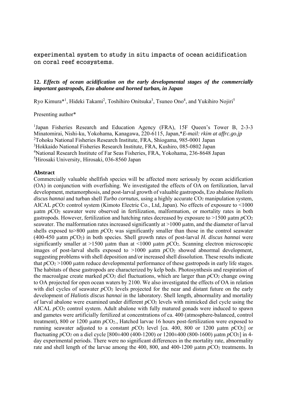experimental system to study in situ impacts of ocean acidification on coral reef ecosystems.

#### **12.** *Effects of ocean acidification on the early developmental stages of the commercially important gastropods, Ezo abalone and horned turban, in Japan*

Ryo Kimura\*<sup>1</sup>, Hideki Takami<sup>2</sup>, Toshihiro Onitsuka<sup>3</sup>, Tsuneo Ono<sup>4</sup>, and Yukihiro Nojiri<sup>5</sup>

#### Presenting author\*

<sup>1</sup>Japan Fisheries Research and Education Agency (FRA), 15F Queen's Tower B, 2-3-3 Minatomirai, Nishi-ku, Yokohama, Kanagawa, 220-6115, Japan,\**E-mail: rkim at affrc.go.jp*  2 Tohoku National Fisheries Research Institute, FRA, Shiogama, 985-0001 Japan <sup>3</sup>Hokkaido National Fisheries Research Institute, FRA, Kushiro, 085-0802 Japan 4 National Research Institute of Far Seas Fisheries, FRA, Yokohama, 236-8648 Japan 5 Hirosaki University, Hirosaki, 036-8560 Japan

#### **Abstract**

Commercially valuable shellfish species will be affected more seriously by ocean acidification (OA) in conjunction with overfishing. We investigated the effects of OA on fertilization, larval development, metamorphosis, and post-larval growth of valuable gastropods, Ezo abalone *Haliotis discus hannai* and turban shell *Turbo cornutus*, using a highly accurate CO<sub>2</sub> manipulation system, AICAL *pCO*<sub>2</sub> control system (Kimoto Electric Co., Ltd, Japan). No effects of exposure to <1000 uatm *pCO*<sub>2</sub> seawater were observed in fertilization, malformation, or mortality rates in both gastropods. However, fertilization and hatching rates decreased by exposure to  $>1500$  uatm  $pCO<sub>2</sub>$ seawater. The malformation rates increased significantly at >1000 µatm, and the diameter of larval shells exposed to  $>800$  µatm  $pCO<sub>2</sub>$  was significantly smaller than those in the control seawater (400-450 µatm *p*CO2) in both species. Shell growth rates of post-larval *H. discus hannai* were significantly smaller at >1500 µatm than at <1000 µatm  $pCO<sub>2</sub>$ . Scanning electron microscopic images of post-larval shells exposed to  $>1000$   $\mu$ atm  $pCO<sub>2</sub>$  showed abnormal development, suggesting problems with shell deposition and/or increased shell dissolution. These results indicate that  $pCO_2 > 1000$  µatm reduce developmental performance of these gastropods in early life stages. The habitats of these gastropods are characterized by kelp beds. Photosynthesis and respiration of the macroalgae create marked  $pCO<sub>2</sub>$  diel fluctuations, which are larger than  $pCO<sub>2</sub>$  change owing to OA projected for open ocean waters by 2100. We also investigated the effects of OA in relation with diel cycles of seawater  $pCO<sub>2</sub>$  levels projected for the near and distant future on the early development of *Haliotis discus hannai* in the laboratory. Shell length, abnormality and mortality of larval abalone were examined under different *p*CO<sub>2</sub> levels with mimicked diel cycle using the AICAL *pCO*<sub>2</sub> control system. Adult abalone with fully matured gonads were induced to spawn and gametes were artificially fertilized at concentrations of ca. 400 (atmosphere-balanced, control treatment), 800 or 1200 µatm *p*CO2., Hatched larvae 16 hours post-fertilization were exposed to running seawater adjusted to a constant  $pCO_2$  level [ca. 400, 800 or 1200  $\mu$ atm  $pCO_2$ ] or fluctuating *p*CO2 on a diel cycle [800±400 (400-1200) or 1200±400 (800-1600) µatm *p*CO2] in 4 day experimental periods. There were no significant differences in the mortality rate, abnormality rate and shell length of the larvae among the  $400, 800,$  and  $400-1200$  uatm  $pCO<sub>2</sub>$  treatments. In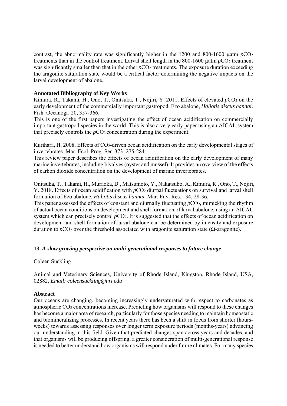contrast, the abnormality rate was significantly higher in the 1200 and 800-1600  $\mu$ atm  $pCO<sub>2</sub>$ treatments than in the control treatment. Larval shell length in the 800-1600 µatm *p*CO2 treatment was significantly smaller than that in the other  $pCO<sub>2</sub>$  treatments. The exposure duration exceeding the aragonite saturation state would be a critical factor determining the negative impacts on the larval development of abalone.

#### **Annotated Bibliography of Key Works**

Kimura, R., Takami, H., Ono, T., Onitsuka, T., Nojiri, Y. 2011. Effects of elevated  $pCO<sub>2</sub>$  on the early development of the commercially important gastropod, Ezo abalone, *Haliotis discus hannai*. Fish. Oceanogr. 20, 357-366.

This is one of the first papers investigating the effect of ocean acidification on commercially important gastropod species in the world. This is also a very early paper using an AICAL system that precisely controls the  $pCO_2$  concentration during the experiment.

Kurihara, H. 2008. Effects of CO<sub>2</sub>-driven ocean acidification on the early developmental stages of invertebrates. Mar. Ecol. Prog. Ser. 373, 275-284.

This review paper describes the effects of ocean acidification on the early development of many marine invertebrates, including bivalves (oyster and mussel). It provides an overview of the effects of carbon dioxide concentration on the development of marine invertebrates.

Onitsuka, T., Takami, H., Muraoka, D., Matsumoto, Y., Nakatsubo, A., Kimura, R., Ono, T., Nojiri, Y. 2018. Effects of ocean acidification with *p*CO<sub>2</sub> diurnal fluctuations on survival and larval shell formation of Ezo abalone, *Haliotis discus hannai.* Mar. Env. Res. 134, 28-36.

This paper assessed the effects of constant and diurnally fluctuating *p*CO<sub>2</sub>, mimicking the rhythm of actual ocean conditions on development and shell formation of larval abalone, using an AICAL system which can precisely control  $pCO<sub>2</sub>$ . It is suggested that the effects of ocean acidification on development and shell formation of larval abalone can be determined by intensity and exposure duration to *p*CO<sub>2</sub> over the threshold associated with aragonite saturation state (Ω-aragonite).

#### **13.** *A slow growing perspective on multi-generational responses to future change*

Coleen Suckling

Animal and Veterinary Sciences, University of Rhode Island, Kingston, Rhode Island, USA, 02882, *Email: coleensuckling@uri.edu*

#### **Abstract**

Our oceans are changing, becoming increasingly undersaturated with respect to carbonates as atmospheric CO2 concentrations increase. Predicting how organisms will respond to these changes has become a major area of research, particularly for those species needing to maintain homeostatic and biomineralizing processes. In recent years there has been a shift in focus from shorter (hoursweeks) towards assessing responses over longer term exposure periods (months-years) advancing our understanding in this field. Given that predicted changes span across years and decades, and that organisms will be producing offspring, a greater consideration of multi-generational response is needed to better understand how organisms will respond under future climates. For many species,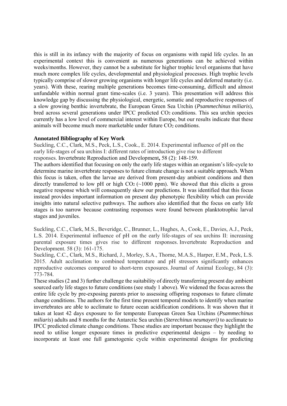this is still in its infancy with the majority of focus on organisms with rapid life cycles. In an experimental context this is convenient as numerous generations can be achieved within weeks/months. However, they cannot be a substitute for higher trophic level organisms that have much more complex life cycles, developmental and physiological processes. High trophic levels typically comprise of slower growing organisms with longer life cycles and deferred maturity (i.e. years). With these, rearing multiple generations becomes time-consuming, difficult and almost unfundable within normal grant time-scales (i.e. 3 years). This presentation will address this knowledge gap by discussing the physiological, energetic, somatic and reproductive responses of a slow growing benthic invertebrate, the European Green Sea Urchin (*Psammechinus miliaris*), bred across several generations under IPCC predicted CO<sub>2</sub> conditions. This sea urchin species currently has a low level of commercial interest within Europe, but our results indicate that these animals will become much more marketable under future CO<sub>2</sub> conditions.

#### **Annotated Bibliography of Key Work**

Suckling, C.C., Clark, M.S., Peck, L.S., Cook., E. 2014. Experimental influence of pH on the early life-stages of sea urchins I: different rates of introduction give rise to different responses. Invertebrate Reproduction and Development**,** 58 (2): 148-159.

The authors identified that focusing on only the early life stages within an organism's life-cycle to determine marine invertebrate responses to future climate change is not a suitable approach. When this focus is taken, often the larvae are derived from present-day ambient conditions and then directly transferred to low pH or high  $CO<sub>2</sub>$  (~1000 ppm). We showed that this elicits a gross negative response which will consequently skew our predictions. It was identified that this focus instead provides important information on present day phenotypic flexibility which can provide insights into natural selective pathways. The authors also identified that the focus on early life stages is too narrow because contrasting responses were found between planktotrophic larval stages and juveniles.

Suckling, C.C., Clark, M.S., Beveridge, C., Brunner, L., Hughes, A., Cook, E., Davies, A.J., Peck, L.S. 2014. Experimental influence of pH on the early life-stages of sea urchins II: increasing parental exposure times gives rise to different responses. Invertebrate Reproduction and Development. 58 (3): 161-175.

Suckling, C.C., Clark, M.S., Richard, J., Morley, S.A., Thorne, M.A.S., Harper, E.M., Peck, L.S. 2015. Adult acclimation to combined temperature and pH stressors significantly enhances reproductive outcomes compared to short-term exposures. Journal of Animal Ecology, 84 (3): 773-784*.*

These studies (2 and 3) further challenge the suitability of directly transferring present day ambient sourced early life stages to future conditions (see study 1 above). We widened the focus across the entire life cycle by pre-exposing parents prior to assessing offspring responses to future climate change conditions. The authors for the first time present temporal models to identify when marine invertebrates are able to acclimate to future ocean acidification conditions. It was shown that it takes at least 42 days exposure to for temperate European Green Sea Urchins (*Psammechinus miliaris*) adults and 8 months for the Antarctic Sea urchin (*Sterechinus neumayeri)* to acclimate to IPCC predicted climate change conditions. These studies are important because they highlight the need to utilise longer exposure times in predictive experimental designs – by needing to incorporate at least one full gametogenic cycle within experimental designs for predicting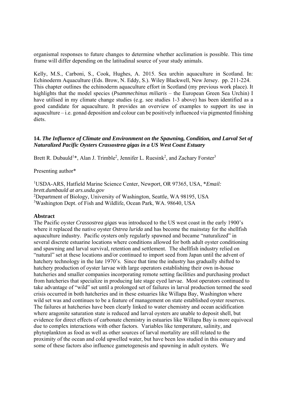organismal responses to future changes to determine whether acclimation is possible. This time frame will differ depending on the latitudinal source of your study animals.

Kelly, M.S., Carboni, S., Cook, Hughes, A. 2015. Sea urchin aquaculture in Scotland. In: Echinoderm Aquaculture (Eds. Brow, N. Eddy, S.). Wiley Blackwell, New Jersey. pp. 211-224. This chapter outlines the echinoderm aquaculture effort in Scotland (my previous work place). It highlights that the model species (*Psammechinus miliaris* – the European Green Sea Urchin) I have utilised in my climate change studies (e.g. see studies 1-3 above) has been identified as a good candidate for aquaculture. It provides an overview of examples to support its use in aquaculture – i.e. gonad deposition and colour can be positively influenced via pigmented finishing diets.

#### **14.** *The Influence of Climate and Environment on the Spawning, Condition, and Larval Set of Naturalized Pacific Oysters Crassostrea gigas in a US West Coast Estuary*

Brett R. Dubauld<sup>1</sup>\*, Alan J. Trimble<sup>2</sup>, Jennifer L. Ruesink<sup>2</sup>, and Zachary Forster<sup>3</sup>

Presenting author\*

<sup>1</sup>USDA-ARS, Hatfield Marine Science Center, Newport, OR 97365, USA, \**Email: brett.dumbauld at ars.usda.gov*  <sup>2</sup>Department of Biology, University of Washington, Seattle, WA 98195, USA <sup>3</sup>Washington Dept. of Fish and Wildlife, Ocean Park, WA. 98640, USA

#### **Abstract**

The Pacific oyster *Crassostrea gigas* was introduced to the US west coast in the early 1900's where it replaced the native oyster *Ostrea lurida* and has become the mainstay for the shellfish aquaculture industry. Pacific oysters only regularly spawned and became "naturalized" in several discrete estuarine locations where conditions allowed for both adult oyster conditioning and spawning and larval survival, retention and settlement. The shellfish industry relied on "natural" set at these locations and/or continued to import seed from Japan until the advent of hatchery technology in the late 1970's. Since that time the industry has gradually shifted to hatchery production of oyster larvae with large operators establishing their own in-house hatcheries and smaller companies incorporating remote setting facilities and purchasing product from hatcheries that specialize in producing late stage eyed larvae. Most operators continued to take advantage of "wild" set until a prolonged set of failures in larval production termed the seed crisis occurred in both hatcheries and in these estuaries like Willapa Bay, Washington where wild set was and continues to be a feature of management on state established oyster reserves. The failures at hatcheries have been clearly linked to water chemistry and ocean acidification where aragonite saturation state is reduced and larval oysters are unable to deposit shell, but evidence for direct effects of carbonate chemistry in estuaries like Willapa Bay is more equivocal due to complex interactions with other factors. Variables like temperature, salinity, and phytoplankton as food as well as other sources of larval mortality are still related to the proximity of the ocean and cold upwelled water, but have been less studied in this estuary and some of these factors also influence gametogenesis and spawning in adult oysters. We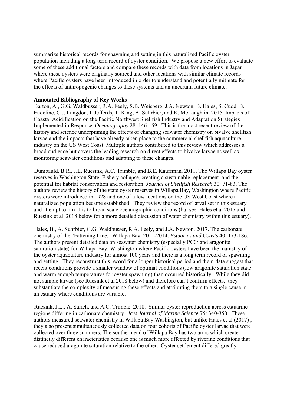summarize historical records for spawning and setting in this naturalized Pacific oyster population including a long term record of oyster condition. We propose a new effort to evaluate some of these additional factors and compare these records with data from locations in Japan where these oysters were originally sourced and other locations with similar climate records where Pacific oysters have been introduced in order to understand and potentially mitigate for the effects of anthropogenic changes to these systems and an uncertain future climate.

#### **Annotated Bibliography of Key Works**

Barton, A., G.G. Waldbusser, R.A. Feely, S.B. Weisberg, J.A. Newton, B. Hales, S. Cudd, B. Eudeline, C.J. Langdon, I. Jefferds, T. King, A. Suhrbier, and K. McLaughlin. 2015. Impacts of Coastal Acidification on the Pacific Northwest Shellfish Industry and Adaptation Strategies Implemented in Response. *Oceanography* 28: 146-159. This is the most recent review of the history and science underpinning the effects of changing seawater chemistry on bivalve shellfish larvae and the impacts that have already taken place to the commercial shellfish aquaculture industry on the US West Coast. Multiple authors contributed to this review which addresses a broad audience but covers the leading research on direct effects to bivalve larvae as well as monitoring seawater conditions and adapting to these changes.

Dumbauld, B.R., J.L. Ruesink, A.C. Trimble, and B.E. Kauffman. 2011. The Willapa Bay oyster reserves in Washington State: Fishery collapse, creating a sustainable replacement, and the potential for habitat conservation and restoration. *Journal of Shellfish Research* 30: 71-83. The authors review the history of the state oyster reserves in Willapa Bay, Washington where Pacific oysters were introduced in 1928 and one of a few locations on the US West Coast where a naturalized population became established. They review the record of larval set in this estuary and attempt to link this to broad scale oceanographic conditions (but see Hales et al 2017 and Ruesink et al. 2018 below for a more detailed discussion of water chemistry within this estuary).

Hales, B., A. Suhrbier, G.G. Waldbusser, R.A. Feely, and J.A. Newton. 2017. The carbonate chemistry of the "Fattening Line," Willapa Bay, 2011-2014. *Estuaries and Coasts* 40: 173-186. The authors present detailed data on seawater chemistry (especially PC0<sub>2</sub> and aragonite saturation state) for Willapa Bay, Washington where Pacific oysters have been the mainstay of the oyster aquaculture industry for almost 100 years and there is a long term record of spawning and setting. They reconstruct this record for a longer historical period and their data suggest that recent conditions provide a smaller window of optimal conditions (low aragonite saturation state and warm enough temperatures for oyster spawning) than occurred historically. While they did not sample larvae (see Ruesink et al 2018 below) and therefore can't confirm effects, they substantiate the complexity of measuring these effects and attributing them to a single cause in an estuary where conditions are variable.

Ruesink, J.L., A. Sarich, and A.C. Trimble. 2018. Similar oyster reproduction across estuarine regions differing in carbonate chemistry. *Ices Journal of Marine Science* 75: 340-350. These authors measured seawater chemistry in Willapa Bay,Washington, but unlike Hales et al (2017) , they also present simultaneously collected data on four cohorts of Pacific oyster larvae that were collected over three summers. The southern end of Willapa Bay has two arms which create distinctly different characteristics because one is much more affected by riverine conditions that cause reduced aragonite saturation relative to the other. Oyster settlement differed greatly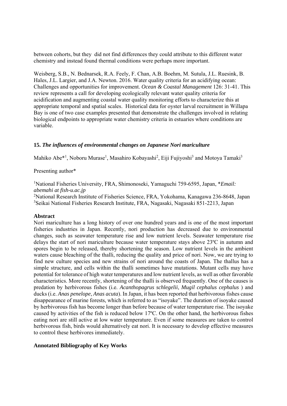between cohorts, but they did not find differences they could attribute to this different water chemistry and instead found thermal conditions were perhaps more important.

Weisberg, S.B., N. Bednarsek, R.A. Feely, F. Chan, A.B. Boehm, M. Sutula, J.L. Ruesink, B. Hales, J.L. Largier, and J.A. Newton. 2016. Water quality criteria for an acidifying ocean: Challenges and opportunities for improvement. *Ocean & Coastal Management* 126: 31-41. This review represents a call for developing ecologically relevant water quality criteria for acidification and augmenting coastal water quality monitoring efforts to characterize this at appropriate temporal and spatial scales. Historical data for oyster larval recruitment in Willapa Bay is one of two case examples presented that demonstrate the challenges involved in relating biological endpoints to appropriate water chemistry criteria in estuaries where conditions are variable.

#### **15.** *The influences of environmental changes on Japanese Nori mariculture*

Mahiko Abe\*<sup>1</sup>, Noboru Murase<sup>1</sup>, Masahiro Kobayashi<sup>2</sup>, Eiji Fujiyoshi<sup>3</sup> and Motoya Tamaki<sup>3</sup>

Presenting author\*

1 National Fisheries University, FRA, Shimonoseki, Yamaguchi 759-6595, Japan, \**Email: abemahi at fish-u.ac.jp*  <sup>2</sup>National Research Institute of Fisheries Science, FRA, Yokohama, Kanagawa 236-8648, Japan

3 Seikai National Fisheries Research Institute, FRA, Nagasaki, Nagasaki 851-2213, Japan

#### **Abstract**

Nori mariculture has a long history of over one hundred years and is one of the most important fisheries industries in Japan. Recently, nori production has decreased due to environmental changes, such as seawater temperature rise and low nutrient levels. Seawater temperature rise delays the start of nori mariculture because water temperature stays above 23ºC in autumn and spores begin to be released, thereby shortening the season. Low nutrient levels in the ambient waters cause bleaching of the thalli, reducing the quality and price of nori. Now, we are trying to find new culture species and new strains of nori around the coasts of Japan. The thallus has a simple structure, and cells within the thalli sometimes have mutations. Mutant cells may have potential for tolerance of high water temperatures and low nutrient levels, as well as other favorable characteristics. More recently, shortening of the thalli is observed frequently. One of the causes is predation by herbivorous fishes (i.e. *Acanthopagrus schlegelii*, *Mugil cephalus cephalus* ) and ducks (i.e. *Anas penelope*, *Anas acuta*). In Japan, it has been reported that herbivorous fishes cause disappearance of marine forests, which is referred to as "isoyake". The duration of isoyake caused by herbivorous fish has become longer than before because of water temperature rise. The isoyake caused by activities of the fish is reduced below 17ºC. On the other hand, the herbivorous fishes eating nori are still active at low water temperature. Even if some measures are taken to control herbivorous fish, birds would alternatively eat nori. It is necessary to develop effective measures to control these herbivores immediately.

#### **Annotated Bibliography of Key Works**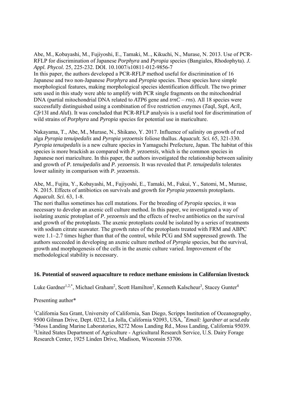Abe, M., Kobayashi, M., Fujiyoshi, E., Tamaki, M.., Kikuchi, N., Murase, N. 2013. Use of PCR-RFLP for discrimination of Japanese *Porphyra* and *Pyropia* species (Bangiales, Rhodophyta). *J. Appl. Phycol.* 25, 225-232. DOI. 10.1007/s10811-012-9856-7

In this paper, the authors developed a PCR-RFLP method useful for discrimination of 16 Japanese and two non-Japanese *Porphyra* and *Pyropia* species. These species have simple morphological features, making morphological species identification difficult. The two primer sets used in this study were able to amplify with PCR single fragments on the mitochondrial DNA (partial mitochondrial DNA related to *ATP6* gene and *trnC – rns*). All 18 species were successfully distinguished using a combination of five restriction enzymes (*Taq*I, *Ssp*I, *Aci*I, *Cfr*13I and *Alu*I). It was concluded that PCR-RFLP analysis is a useful tool for discrimination of wild strains of *Porphyra* and *Pyropia* species for potential use in mariculture.

Nakayama, T., Abe, M., Murase, N., Shikano, Y. 2017. Influence of salinity on growth of red alga *Pyropia tenuipedalis* and *Pyropia yezoensis* foliose thallus. *Aquacult. Sci.* 65, 321-330. *Pyropia tenuipedalis* is a new culture species in Yamaguchi Prefecture, Japan. The habitat of this species is more brackish as compared with *P. yezoensis*, which is the common species in Japanese nori mariculture. In this paper, the authors investigated the relationship between salinity and growth of *P. tenuipedalis* and *P. yezoensis*. It was revealed that *P. tenuipedalis* tolerates lower salinity in comparison with *P. yezoensis*.

Abe, M., Fujita, Y., Kobayashi, M., Fujiyoshi, E., Tamaki, M., Fukui, Y., Satomi, M., Murase, N. 2015. Effects of antibiotics on survivals and growth for *Pyropia yezoensis* protoplasts. *Aquacult. Sci.* 63, 1-8.

The nori thallus sometimes has cell mutations. For the breeding of *Pyropia* species, it was necessary to develop an axenic cell culture method. In this paper, we investigated a way of isolating axenic protoplast of *P. yezoensis* and the effects of twelve antibiotics on the survival and growth of the protoplasts. The axenic protoplasts could be isolated by a series of treatments with sodium citrate seawater. The growth rates of the protoplasts treated with FRM and ABPC were 1.1–2.7 times higher than that of the control, while PCG and SM suppressed growth. The authors succeeded in developing an axenic culture method of *Pyropia* species, but the survival, growth and morphogenesis of the cells in the axenic culture varied. Improvement of the methodological stability is necessary.

#### **16. Potential of seaweed aquaculture to reduce methane emissions in Californian livestock**

Luke Gardner<sup>1,2,\*</sup>, Michael Graham<sup>2</sup>, Scott Hamilton<sup>2</sup>, Kenneth Kalscheur<sup>3</sup>, Stacey Gunter<sup>4</sup>

#### Presenting author\*

<sup>1</sup>California Sea Grant, University of California, San Diego, Scripps Institution of Oceanography, 9500 Gilman Drive, Dept. 0232, La Jolla, California 92093, USA, \* *Email: lgardner at ucsd.edu*  <sup>2</sup>Moss Landing Marine Laboratories, 8272 Moss Landing Rd., Moss Landing, California 95039. <sup>3</sup>United States Department of Agriculture - Agricultural Research Service, U.S. Dairy Forage Research Center, 1925 Linden Drive, Madison, Wisconsin 53706.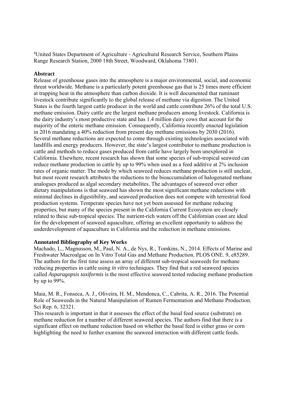4 United States Department of Agriculture - Agricultural Research Service, Southern Plains Range Research Station, 2000 18th Street, Woodward, Oklahoma 73801.

#### **Abstract**

Release of greenhouse gases into the atmosphere is a major environmental, social, and economic threat worldwide. Methane is a particularly potent greenhouse gas that is 25 times more efficient at trapping heat in the atmosphere than carbon dioxide. It is well documented that ruminant livestock contribute significantly to the global release of methane via digestion. The United States is the fourth largest cattle producer in the world and cattle contribute 26% of the total U.S. methane emission. Dairy cattle are the largest methane producers among livestock. California is the dairy industry's most productive state and has 1.4 million dairy cows that account for the majority of the enteric methane emission. Consequently, California recently enacted legislation in 2016 mandating a 40% reduction from present day methane emissions by 2030 (2016). Several methane reductions are expected to come through existing technologies associated with landfills and energy producers. However, the state's largest contributor to methane production is cattle and methods to reduce gases produced from cattle have largely been unexplored in California. Elsewhere, recent research has shown that some species of sub-tropical seaweed can reduce methane production in cattle by up to 99% when used as a feed additive at 2% inclusion rates of organic matter. The mode by which seaweed reduces methane production is still unclear, but most recent research attributes the reductions to the bioaccumulation of halogenated methane analogues produced as algal secondary metabolites. The advantages of seaweed over other dietary manipulations is that seaweed has shown the most significant methane reductions with minimal declines in digestibility, and seaweed production does not compete with terrestrial food production systems. Temperate species have not yet been assessed for methane reducing properties, but many of the species present in the California Current Ecosystem are closely related to these sub-tropical species. The nutrient-rich waters off the Californian coast are ideal for the development of seaweed aquaculture, offering an excellent opportunity to address the underdevelopment of aquaculture in California and the reduction in methane emissions.

#### **Annotated Bibliography of Key Works**

Machado, L., Magnusson, M., Paul, N. A., de Nys, R., Tomkins, N., 2014. Effects of Marine and Freshwater Macroalgae on In Vitro Total Gas and Methane Production. PLOS ONE. 9, e85289. The authors for the first time assess an array of different sub-tropical seaweeds for methane reducing properties in cattle using *in vitro* techniques. They find that a red seaweed species called *Asparagopsis taxiformis* is the most effective seaweed tested reducing methane production by up to 99%.

Maia, M. R., Fonseca, A. J., Oliveira, H. M., Mendonca, C., Cabrita, A. R., 2016. The Potential Role of Seaweeds in the Natural Manipulation of Rumen Fermentation and Methane Production. Sci Rep. 6, 32321.

This research is important in that it assesses the effect of the basal feed source (substrate) on methane reduction for a number of different seaweed species. The authors find that there is a significant effect on methane reduction based on whether the basal feed is either grass or corn highlighting the need to further examine the seaweed interaction with different cattle feeds.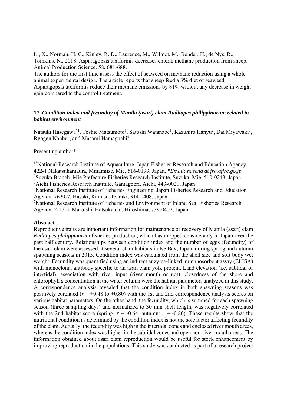Li, X., Norman, H. C., Kinley, R. D., Laurence, M., Wilmot, M., Bender, H., de Nys, R., Tomkins, N., 2018. Asparagopsis taxiformis decreases enteric methane production from sheep. Animal Production Science. 58, 681-688.

The authors for the first time assess the effect of seaweed on methane reduction using a whole animal experimental design. The article reports that sheep feed a 3% diet of seaweed Asparagopsis taxiformis reduce their methane emissions by 81% without any decrease in weight gain compared to the control treatment.

#### **17.** *Condition index and fecundity of Manila (asari) clam Ruditapes philippinarum related to habitat environment*

Natsuki Hasegawa<sup>\*1</sup>, Toshie Matsumoto<sup>1</sup>, Satoshi Watanabe<sup>1</sup>, Kazuhiro Hanyu<sup>2</sup>, Dai Miyawaki<sup>3</sup>, Ryogen Nanbu<sup>4</sup>, and Masami Hamaguchi<sup>5</sup>

#### Presenting author\*

<sup>1\*</sup>National Research Institute of Aquaculture, Japan Fisheries Research and Education Agency, 422-1 Nakatsuhamaura, Minamiise, Mie, 516-0193, Japan, \**Email: hasena at fra.affrc.go.jp*  2 Suzuka Branch, Mie Prefecture Fisheries Research Institute, Suzuka, Mie, 510-0243, Japan 3 Aichi Fisheries Research Institute, Gamagoori, Aichi, 443-0021, Japan

<sup>4</sup>National Research Institute of Fisheries Engineering, Japan Fisheries Research and Education Agency, 7620-7, Hasaki, Kamisu, Ibaraki, 314-0408, Japan

5 National Research Institute of Fisheries and Environment of Inland Sea, Fisheries Research Agency, 2-17-5, Maruishi, Hatsukaichi, Hiroshima, 739-0452, Japan

#### **Abstract**

Reproductive traits are important information for maintenance or recovery of Manila (asari) clam *Ruditapes philippinarum* fisheries production, which has dropped considerably in Japan over the past half century. Relationships between condition index and the number of eggs (fecundity) of the asari clam were assessed at several clam habitats in Ise Bay, Japan, during spring and autumn spawning seasons in 2015. Condition index was calculated from the shell size and soft body wet weight. Fecundity was quantified using an indirect enzyme-linked immunosorbent assay (ELISA) with monoclonal antibody specific to an asari clam yolk protein. Land elevation (i.e. subtidal or intertidal), association with river input (river mouth or not), closedness of the shore and chlorophyll *a* concentration in the water column were the habitat parameters analyzed in this study. A correspondence analysis revealed that the condition index in both spawning seasons was positively corelated  $(r = +0.48 \text{ to } +0.80)$  with the 1st and 2nd correspondence analysis scores on various habitat parameters. On the other hand, the fecundity, which is summed for each spawning season (three sampling days) and normalized to 30 mm shell length, was negatively correlated with the 2nd habitat score (spring:  $r = -0.64$ , autumn:  $r = -0.80$ ). These results show that the nutritional condition as determined by the condition index is not the sole factor affecting fecundity of the clam. Actually, the fecundity was high in the intertidal zones and enclosed river mouth areas, whereas the condition index was higher in the subtidal zones and open non-river mouth areas. The information obtained about asari clam reproduction would be useful for stock enhancement by improving reproduction in the populations. This study was conducted as part of a research project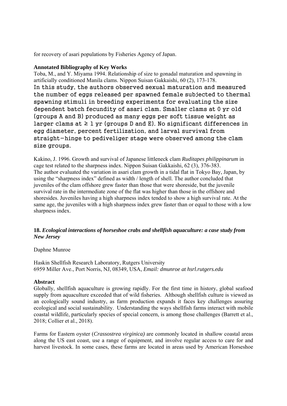for recovery of asari populations by Fisheries Agency of Japan.

#### **Annotated Bibliography of Key Works**

Toba, M., and Y. Miyama 1994. Relationship of size to gonadal maturation and spawning in artificially conditioned Manila clams. Nippon Suisan Gakkaishi, 60 (2), 173-178. In this study, the authors observed sexual maturation and measured the number of eggs released per spawned female subjected to thermal spawning stimuli in breeding experiments for evaluating the size dependent batch fecundity of asari clam. Smaller clams at 0 yr old (groups A and B) produced as many eggs per soft tissue weight as larger clams at  $\geq 1$  yr (groups D and E). No significant differences in egg diameter, percent fertilization, and larval survival from straight-hinge to pediveliger stage were observed among the clam size groups.

Kakino, J. 1996. Growth and survival of Japanese littleneck clam *Ruditapes philippinarum* in cage test related to the sharpness index. Nippon Suisan Gakkaishi, 62 (3), 376-383. The author evaluated the variation in asari clam growth in a tidal flat in Tokyo Bay, Japan, by using the "sharpness index" defined as width / length of shell. The author concluded that juveniles of the clam offshore grew faster than those that were shoreside, but the juvenile survival rate in the intermediate zone of the flat was higher than those in the offshore and shoresides. Juveniles having a high sharpness index tended to show a high survival rate. At the same age, the juveniles with a high sharpness index grew faster than or equal to those with a low sharpness index.

#### **18.** *Ecological interactions of horseshoe crabs and shellfish aquaculture: a case study from New Jersey*

#### Daphne Munroe

Haskin Shellfish Research Laboratory, Rutgers University 6959 Miller Ave., Port Norris, NJ, 08349, USA, *Email: dmunroe at hsrl.rutgers.edu* 

#### **Abstract**

Globally, shellfish aquaculture is growing rapidly. For the first time in history, global seafood supply from aquaculture exceeded that of wild fisheries. Although shellfish culture is viewed as an ecologically sound industry, as farm production expands it faces key challenges assuring ecological and social sustainability. Understanding the ways shellfish farms interact with mobile coastal wildlife, particularly species of special concern, is among those challenges (Barrett et al., 2018; Collier et al., 2018).

Farms for Eastern oyster (*Crassostrea virginica)* are commonly located in shallow coastal areas along the US east coast, use a range of equipment, and involve regular access to care for and harvest livestock. In some cases, these farms are located in areas used by American Horseshoe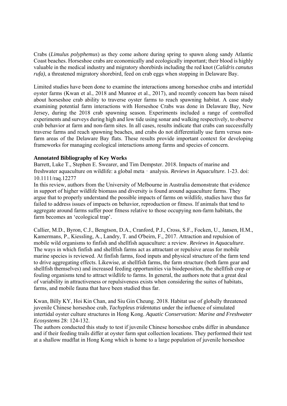Crabs (*Limulus polyphemus*) as they come ashore during spring to spawn along sandy Atlantic Coast beaches. Horseshoe crabs are economically and ecologically important; their blood is highly valuable in the medical industry and migratory shorebirds including the red knot (*Calidris canutus rufa)*, a threatened migratory shorebird, feed on crab eggs when stopping in Delaware Bay.

Limited studies have been done to examine the interactions among horseshoe crabs and intertidal oyster farms (Kwan et al., 2018 and Munroe et al., 2017), and recently concern has been raised about horseshoe crab ability to traverse oyster farms to reach spawning habitat. A case study examining potential farm interactions with Horseshoe Crabs was done in Delaware Bay, New Jersey, during the 2018 crab spawning season. Experiments included a range of controlled experiments and surveys during high and low tide using sonar and walking respectively, to observe crab behavior at farm and non-farm sites. In all cases, results indicate that crabs can successfully traverse farms and reach spawning beaches, and crabs do not differentially use farm versus nonfarm areas of the Delaware Bay flats. These results provide important context for developing frameworks for managing ecological interactions among farms and species of concern.

#### **Annotated Bibliography of Key Works**

Barrett, Luke T., Stephen E. Swearer, and Tim Dempster. 2018. Impacts of marine and freshwater aquaculture on wildlife: a global meta‐analysis. *Reviews in Aquaculture*. 1-23. doi: 10.1111/raq.12277

In this review, authors from the University of Melbourne in Australia demonstrate that evidence in support of higher wildlife biomass and diversity is found around aquaculture farms. They argue that to properly understand the possible impacts of farms on wildlife, studies have thus far failed to address issues of impacts on behavior, reproduction or fitness. If animals that tend to aggregate around farms suffer poor fitness relative to those occupying non-farm habitats, the farm becomes an 'ecological trap'.

Callier, M.D., Byron, C.J., Bengtson, D.A., Cranford, P.J., Cross, S.F., Focken, U., Jansen, H.M., Kamermans, P., Kiessling, A., Landry, T. and O'beirn, F., 2017. Attraction and repulsion of mobile wild organisms to finfish and shellfish aquaculture: a review. *Reviews in Aquaculture*. The ways in which finfish and shellfish farms act as attractant or repulsive areas for mobile marine species is reviewed. At finfish farms, food inputs and physical structure of the farm tend to drive aggregating effects. Likewise, at shellfish farms, the farm structure (both farm gear and shellfish themselves) and increased feeding opportunities via biodeposition, the shellfish crop or fouling organisms tend to attract wildlife to farms. In general, the authors note that a great deal of variability in attractiveness or repulsiveness exists when considering the suites of habitats, farms, and mobile fauna that have been studied thus far.

Kwan, Billy KY, Hoi Kin Chan, and Siu Gin Cheung. 2018. Habitat use of globally threatened juvenile Chinese horseshoe crab, *Tachypleus tridentatus* under the influence of simulated intertidal oyster culture structures in Hong Kong. *Aquatic Conservation: Marine and Freshwater Ecosystems* 28: 124-132.

The authors conducted this study to test if juvenile Chinese horseshoe crabs differ in abundance and if their feeding trails differ at oyster farm spat collection locations. They performed their test at a shallow mudflat in Hong Kong which is home to a large population of juvenile horseshoe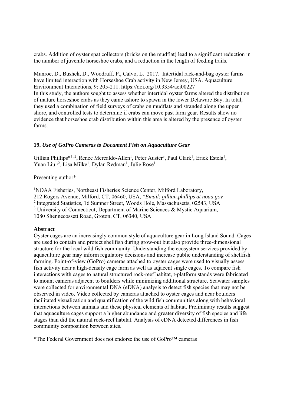crabs. Addition of oyster spat collectors (bricks on the mudflat) lead to a significant reduction in the number of juvenile horseshoe crabs, and a reduction in the length of feeding trails.

Munroe, D.**,** Bushek, D., Woodruff, P., Calvo, L. 2017. Intertidal rack-and-bag oyster farms have limited interaction with Horseshoe Crab activity in New Jersey, USA. Aquaculture Environment Interactions, 9: 205-211. https://doi.org/10.3354/aei00227 In this study, the authors sought to assess whether intertidal oyster farms altered the distribution of mature horseshoe crabs as they came ashore to spawn in the lower Delaware Bay. In total, they used a combination of field surveys of crabs on mudflats and stranded along the upper shore, and controlled tests to determine if crabs can move past farm gear. Results show no evidence that horseshoe crab distribution within this area is altered by the presence of oyster farms.

#### **19.** *Use of GoPro Cameras to Document Fish on Aquaculture Gear*

Gillian Phillips<sup>\*1, 2</sup>, Renee Mercaldo-Allen<sup>1</sup>, Peter Auster<sup>3</sup>, Paul Clark<sup>1</sup>, Erick Estela<sup>1</sup>, Yuan Liu<sup>1,2</sup>, Lisa Milke<sup>1</sup>, Dylan Redman<sup>1</sup>, Julie Rose<sup>1</sup>

Presenting author\*

<sup>1</sup>NOAA Fisheries, Northeast Fisheries Science Center, Milford Laboratory, 212 Rogers Avenue, Milford, CT, 06460, USA, \**Email: gillian.phillips at noaa.gov* 2 Integrated Statistics, 16 Sumner Street, Woods Hole, Massachusetts, 02543, USA <sup>3</sup> University of Connecticut, Department of Marine Sciences & Mystic Aquarium, 1080 Shennecossett Road, Groton, CT, 06340, USA

#### **Abstract**

Oyster cages are an increasingly common style of aquaculture gear in Long Island Sound. Cages are used to contain and protect shellfish during grow-out but also provide three-dimensional structure for the local wild fish community. Understanding the ecosystem services provided by aquaculture gear may inform regulatory decisions and increase public understanding of shellfish farming. Point-of-view (GoPro) cameras attached to oyster cages were used to visually assess fish activity near a high-density cage farm as well as adjacent single cages. To compare fish interactions with cages to natural structured rock-reef habitat, t-platform stands were fabricated to mount cameras adjacent to boulders while minimizing additional structure. Seawater samples were collected for environmental DNA (eDNA) analysis to detect fish species that may not be observed in video. Video collected by cameras attached to oyster cages and near boulders facilitated visualization and quantification of the wild fish communities along with behavioral interactions between animals and these physical elements of habitat. Preliminary results suggest that aquaculture cages support a higher abundance and greater diversity of fish species and life stages than did the natural rock-reef habitat. Analysis of eDNA detected differences in fish community composition between sites.

\*The Federal Government does not endorse the use of GoPro™ cameras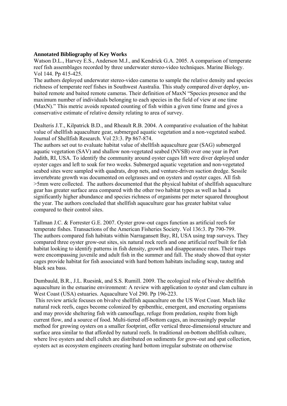#### **Annotated Bibliography of Key Works**

Watson D.L., Harvey E.S., Anderson M.J., and Kendrick G.A. 2005. A comparison of temperate reef fish assemblages recorded by three underwater stereo-video techniques. Marine Biology. Vol 144. Pp 415-425.

The authors deployed underwater stereo-video cameras to sample the relative density and species richness of temperate reef fishes in Southwest Australia. This study compared diver deploy, unbaited remote and baited remote cameras. Their definition of MaxN "Species presence and the maximum number of individuals belonging to each species in the field of view at one time (MaxN)." This metric avoids repeated counting of fish within a given time frame and gives a conservative estimate of relative density relating to area of survey.

Dealteris J.T., Kilpatrick B.D., and Rheault R.B. 2004. A comparative evaluation of the habitat value of shellfish aquaculture gear, submerged aquatic vegetation and a non-vegetated seabed. Journal of Shellfish Research. Vol 23:3. Pp 867-874.

The authors set out to evaluate habitat value of shellfish aquaculture gear (SAG) submerged aquatic vegetation (SAV) and shallow non-vegetated seabed (NVSB) over one year in Port Judith, RI, USA. To identify the community around oyster cages lift were diver deployed under oyster cages and left to soak for two weeks. Submerged aquatic vegetation and non-vegetated seabed sites were sampled with quadrats, drop nets, and venture-driven suction dredge. Sessile invertebrate growth was documented on eelgrasses and on oysters and oyster cages. All fish >5mm were collected. The authors documented that the physical habitat of shellfish aquaculture gear has greater surface area compared with the other two habitat types as well as had a significantly higher abundance and species richness of organisms per meter squared throughout the year. The authors concluded that shellfish aquaculture gear has greater habitat value compared to their control sites.

Tallman J.C. & Forrester G.E. 2007. Oyster grow-out cages function as artificial reefs for temperate fishes. Transactions of the American Fisheries Society. Vol 136:3. Pp 790-799. The authors compared fish habitats within Narragansett Bay, RI, USA using trap surveys. They compared three oyster grow-out sites, six natural rock reefs and one artificial reef built for fish habitat looking to identify patterns in fish density, growth and disappearance rates. Their traps were encompassing juvenile and adult fish in the summer and fall. The study showed that oyster cages provide habitat for fish associated with hard bottom habitats including scup, tautog and black sea bass.

Dumbauld, B.R., J.L. Ruesink, and S.S. Rumill. 2009. The ecological role of bivalve shellfish aquaculture in the estuarine environment: A review with application to oyster and clam culture in West Coast (USA) estuaries. Aquaculture Vol 290. Pp 196-223.

 This review article focuses on bivalve shellfish aquaculture on the US West Coast. Much like natural rock reefs, cages become colonized by epibenthic, emergent, and encrusting organisms and may provide sheltering fish with camouflage, refuge from predation, respite from high current flow, and a source of food. Multi-tiered off-bottom cages, an increasingly popular method for growing oysters on a smaller footprint, offer vertical three-dimensional structure and surface area similar to that afforded by natural reefs. In traditional on-bottom shellfish culture, where live oysters and shell cultch are distributed on sediments for grow-out and spat collection, oysters act as ecosystem engineers creating hard bottom irregular substrate on otherwise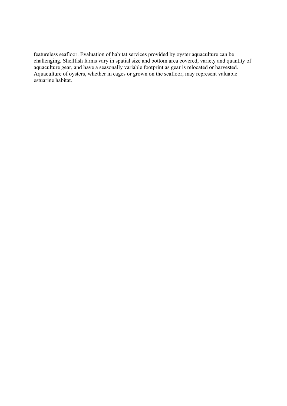featureless seafloor. Evaluation of habitat services provided by oyster aquaculture can be challenging. Shellfish farms vary in spatial size and bottom area covered, variety and quantity of aquaculture gear, and have a seasonally variable footprint as gear is relocated or harvested. Aquaculture of oysters, whether in cages or grown on the seafloor, may represent valuable estuarine habitat.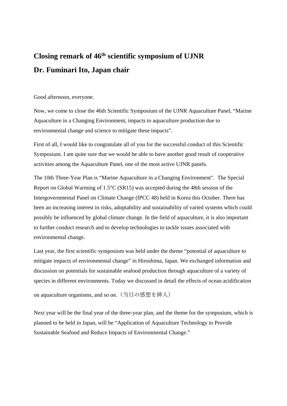# **Closing remark of 46th scientific symposium of UJNR Dr. Fuminari Ito, Japan chair**

Good afternoon, everyone.

Now, we come to close the 46th Scientific Symposium of the UJNR Aquaculture Panel, "Marine Aquaculture in a Changing Environment, impacts to aquaculture production due to environmental change and science to mitigate these impacts".

First of all, I would like to congratulate all of you for the successful conduct of this Scientific Symposium. I am quite sure that we would be able to have another good result of cooperative activities among the Aquaculture Panel, one of the most active UJNR panels.

The 10th Three-Year Plan is "Marine Aquaculture in a Changing Environment". The Special Report on Global Warming of 1.5°C (SR15) was accepted during the 48th session of the Intergovernmental Panel on Climate Change (IPCC 48) held in Korea this October. There has been an increasing interest in risks, adoptability and sustainability of varied systems which could possibly be influenced by global climate change. In the field of aquaculture, it is also important to further conduct research and to develop technologies to tackle issues associated with environmental change.

Last year, the first scientific symposium was held under the theme "potential of aquaculture to mitigate impacts of environmental change" in Hiroshima, Japan. We exchanged information and discussion on potentials for sustainable seafood production through aquaculture of a variety of species in different environments. Today we discussed in detail the effects of ocean acidification

on aquaculture organisms, and so on. (当日の感想を挿入)

Next year will be the final year of the three-year plan, and the theme for the symposium, which is planned to be held in Japan, will be "Application of Aquaculture Technology to Provide Sustainable Seafood and Reduce Impacts of Environmental Change."